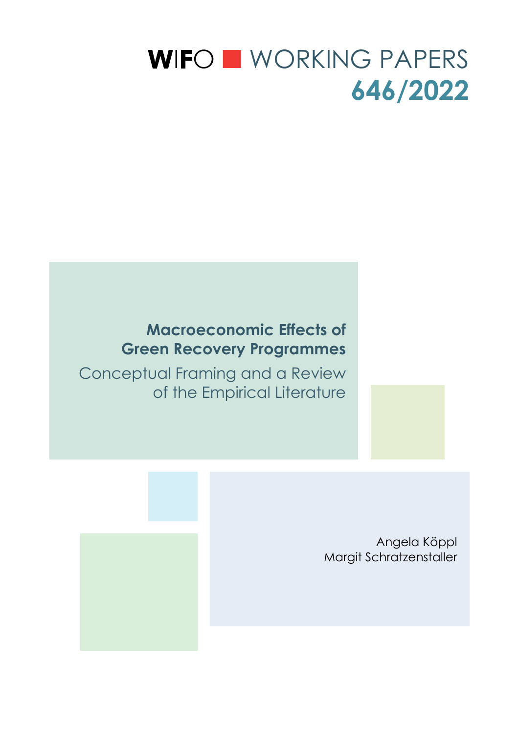# WIFO WORKING PAPERS **646/2022**

# **Macroeconomic Effects of Green Recovery Programmes**

Conceptual Framing and a Review of the Empirical Literature



Angela Köppl Margit Schratzenstaller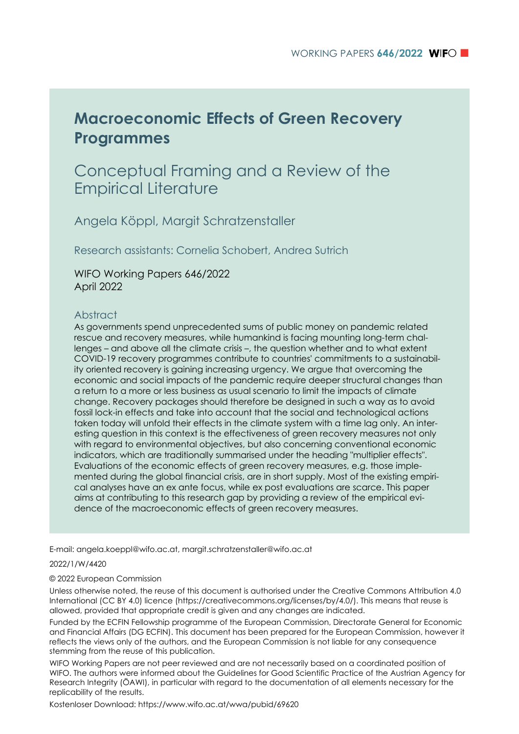# **Macroeconomic Effects of Green Recovery Programmes**

# Conceptual Framing and a Review of the Empirical Literature

Angela Köppl, Margit Schratzenstaller

Research assistants: Cornelia Schobert, Andrea Sutrich

WIFO Working Papers 646/2022 April 2022

### Abstract

As governments spend unprecedented sums of public money on pandemic related rescue and recovery measures, while humankind is facing mounting long-term challenges – and above all the climate crisis –, the question whether and to what extent COVID-19 recovery programmes contribute to countries' commitments to a sustainability oriented recovery is gaining increasing urgency. We argue that overcoming the economic and social impacts of the pandemic require deeper structural changes than a return to a more or less business as usual scenario to limit the impacts of climate change. Recovery packages should therefore be designed in such a way as to avoid fossil lock-in effects and take into account that the social and technological actions taken today will unfold their effects in the climate system with a time lag only. An interesting question in this context is the effectiveness of green recovery measures not only with regard to environmental objectives, but also concerning conventional economic indicators, which are traditionally summarised under the heading "multiplier effects". Evaluations of the economic effects of green recovery measures, e.g. those implemented during the global financial crisis, are in short supply. Most of the existing empirical analyses have an ex ante focus, while ex post evaluations are scarce. This paper aims at contributing to this research gap by providing a review of the empirical evidence of the macroeconomic effects of green recovery measures.

E-mail: angela.koeppl@wifo.ac.at, margit.schratzenstaller@wifo.ac.at

#### 2022/1/W/4420

#### © 2022 European Commission

Unless otherwise noted, the reuse of this document is authorised under the Creative Commons Attribution 4.0 International (CC BY 4.0) licence (https://creativecommons.org/licenses/by/4.0/). This means that reuse is allowed, provided that appropriate credit is given and any changes are indicated.

Funded by the ECFIN Fellowship programme of the European Commission, Directorate General for Economic and Financial Affairs (DG ECFIN). This document has been prepared for the European Commission, however it reflects the views only of the authors, and the European Commission is not liable for any consequence stemming from the reuse of this publication.

WIFO Working Papers are not peer reviewed and are not necessarily based on a coordinated position of WIFO. The authors were informed about the Guidelines for Good Scientific Practice of the Austrian Agency for Research Integrity (ÖAWI), in particular with regard to the documentation of all elements necessary for the replicability of the results.

Kostenloser Download: https://www.wifo.ac.at/wwa/pubid/69620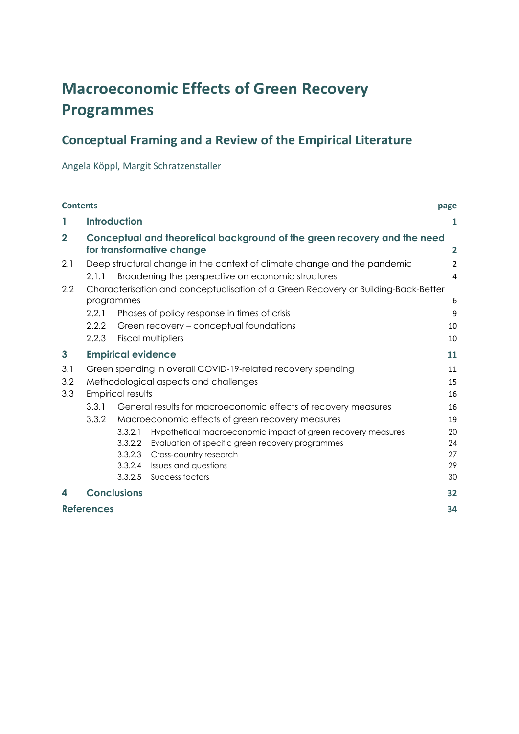# **Macroeconomic Effects of Green Recovery Programmes**

# **Conceptual Framing and a Review of the Empirical Literature**

Angela Köppl, Margit Schratzenstaller

| <b>Contents</b> |                   |                           |                                                                                                       | page           |
|-----------------|-------------------|---------------------------|-------------------------------------------------------------------------------------------------------|----------------|
| 1               |                   | <b>Introduction</b>       |                                                                                                       | 1              |
| $\overline{2}$  |                   |                           | Conceptual and theoretical background of the green recovery and the need<br>for transformative change | 2              |
| 2.1             |                   |                           | Deep structural change in the context of climate change and the pandemic                              | $\overline{2}$ |
|                 | 2.1.1             |                           | Broadening the perspective on economic structures                                                     | 4              |
| 2.2             |                   |                           | Characterisation and conceptualisation of a Green Recovery or Building-Back-Better                    |                |
|                 | programmes        |                           |                                                                                                       | 6              |
|                 | 2.2.1             |                           | Phases of policy response in times of crisis                                                          | 9              |
|                 | 2.2.2             |                           | Green recovery – conceptual foundations                                                               | 10             |
|                 | 2.2.3             |                           | <b>Fiscal multipliers</b>                                                                             | 10             |
| $\mathbf{3}$    |                   | <b>Empirical evidence</b> |                                                                                                       | 11             |
| 3.1             |                   |                           | Green spending in overall COVID-19-related recovery spending                                          | 11             |
| 3.2             |                   |                           | Methodological aspects and challenges                                                                 | 15             |
| 3.3             |                   | Empirical results         |                                                                                                       | 16             |
|                 | 3.3.1             |                           | General results for macroeconomic effects of recovery measures                                        | 16             |
|                 | 3.3.2             |                           | Macroeconomic effects of green recovery measures                                                      | 19             |
|                 |                   | 3.3.2.1                   | Hypothetical macroeconomic impact of green recovery measures                                          | 20             |
|                 |                   | 3.3.2.2                   | Evaluation of specific green recovery programmes                                                      | 24             |
|                 |                   | 3.3.2.3                   | Cross-country research                                                                                | 27             |
|                 |                   | 3.3.2.4                   | Issues and questions                                                                                  | 29             |
|                 |                   | 3.3.2.5                   | Success factors                                                                                       | 30             |
| 4               |                   | <b>Conclusions</b>        |                                                                                                       | 32             |
|                 | <b>References</b> |                           |                                                                                                       | 34             |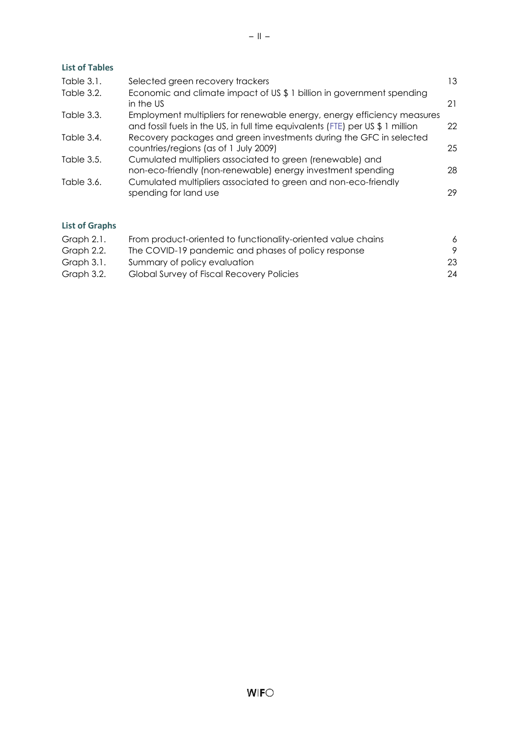# **List of Tables**

| Table 3.1. | Selected green recovery trackers                                                                                                                          | 13 |
|------------|-----------------------------------------------------------------------------------------------------------------------------------------------------------|----|
| Table 3.2. | Economic and climate impact of US \$ 1 billion in government spending<br>in the US                                                                        | 21 |
| Table 3.3. | Employment multipliers for renewable energy, energy efficiency measures<br>and fossil fuels in the US, in full time equivalents (FTE) per US \$ 1 million | 22 |
| Table 3.4. | Recovery packages and green investments during the GFC in selected<br>countries/regions (as of 1 July 2009)                                               | 25 |
| Table 3.5. | Cumulated multipliers associated to green (renewable) and<br>non-eco-friendly (non-renewable) energy investment spending                                  | 28 |
| Table 3.6. | Cumulated multipliers associated to green and non-eco-friendly<br>spending for land use                                                                   | 29 |
|            |                                                                                                                                                           |    |

# **List of Graphs**

| Graph 2.1. | From product-oriented to functionality-oriented value chains | 6  |
|------------|--------------------------------------------------------------|----|
| Graph 2.2. | The COVID-19 pandemic and phases of policy response          | 9  |
| Graph 3.1. | Summary of policy evaluation                                 | 23 |
| Graph 3.2. | Global Survey of Fiscal Recovery Policies                    | 24 |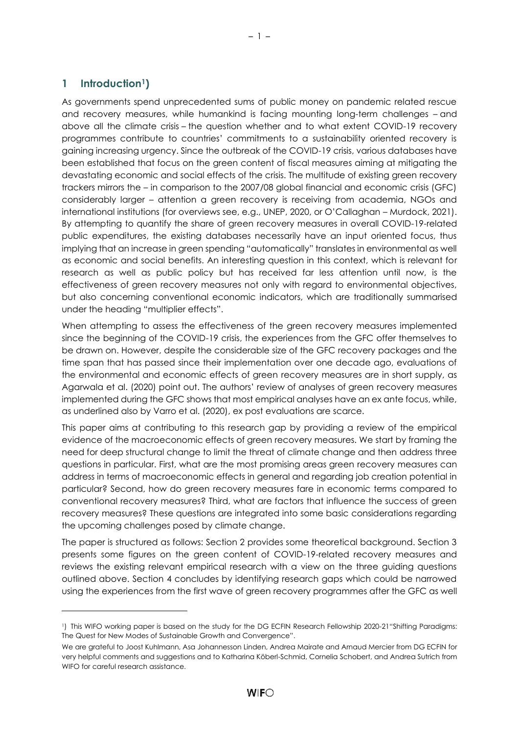# <span id="page-4-0"></span>**1 Introduction1)**

As governments spend unprecedented sums of public money on pandemic related rescue and recovery measures, while humankind is facing mounting long-term challenges – and above all the climate crisis – the question whether and to what extent COVID-19 recovery programmes contribute to countries' commitments to a sustainability oriented recovery is gaining increasing urgency. Since the outbreak of the COVID-19 crisis, various databases have been established that focus on the green content of fiscal measures aiming at mitigating the devastating economic and social effects of the crisis. The multitude of existing green recovery trackers mirrors the – in comparison to the 2007/08 global financial and economic crisis (GFC) considerably larger – attention a green recovery is receiving from academia, NGOs and international institutions (for overviews see, e.g., UNEP, 2020, or O'Callaghan – Murdock, 2021). By attempting to quantify the share of green recovery measures in overall COVID-19-related public expenditures, the existing databases necessarily have an input oriented focus, thus implying that an increase in green spending "automatically" translates in environmental as well as economic and social benefits. An interesting question in this context, which is relevant for research as well as public policy but has received far less attention until now, is the effectiveness of green recovery measures not only with regard to environmental objectives, but also concerning conventional economic indicators, which are traditionally summarised under the heading "multiplier effects".

When attempting to assess the effectiveness of the green recovery measures implemented since the beginning of the COVID-19 crisis, the experiences from the GFC offer themselves to be drawn on. However, despite the considerable size of the GFC recovery packages and the time span that has passed since their implementation over one decade ago, evaluations of the environmental and economic effects of green recovery measures are in short supply, as Agarwala et al. (2020) point out. The authors' review of analyses of green recovery measures implemented during the GFC shows that most empirical analyses have an ex ante focus, while, as underlined also by Varro et al. (2020), ex post evaluations are scarce.

This paper aims at contributing to this research gap by providing a review of the empirical evidence of the macroeconomic effects of green recovery measures. We start by framing the need for deep structural change to limit the threat of climate change and then address three questions in particular. First, what are the most promising areas green recovery measures can address in terms of macroeconomic effects in general and regarding job creation potential in particular? Second, how do green recovery measures fare in economic terms compared to conventional recovery measures? Third, what are factors that influence the success of green recovery measures? These questions are integrated into some basic considerations regarding the upcoming challenges posed by climate change.

The paper is structured as follows: Section 2 provides some theoretical background. Section 3 presents some figures on the green content of COVID-19-related recovery measures and reviews the existing relevant empirical research with a view on the three guiding questions outlined above. Section 4 concludes by identifying research gaps which could be narrowed using the experiences from the first wave of green recovery programmes after the GFC as well

<sup>1</sup>) This WIFO working paper is based on the study for the DG ECFIN Research Fellowship 2020-21"Shifting Paradigms: The Quest for New Modes of Sustainable Growth and Convergence".

We are grateful to Joost Kuhlmann, Asa Johannesson Linden, Andrea Mairate and Arnaud Mercier from DG ECFIN for very helpful comments and suggestions and to Katharina Köberl-Schmid, Cornelia Schobert, and Andrea Sutrich from WIFO for careful research assistance.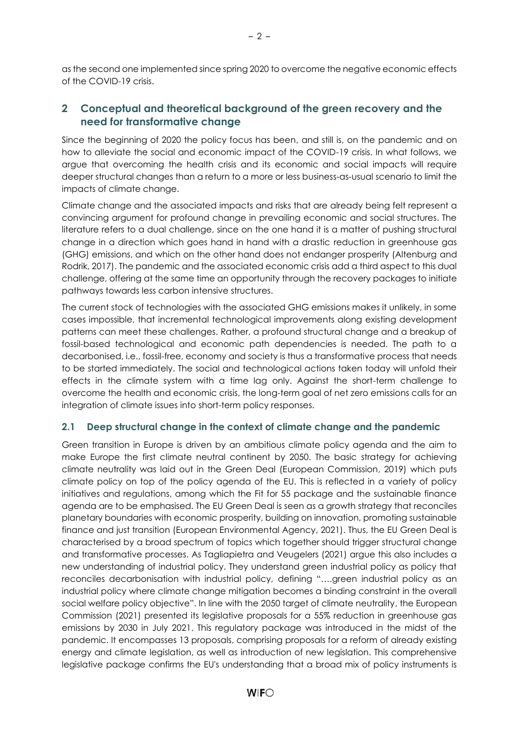as the second one implemented since spring 2020 to overcome the negative economic effects of the COVID-19 crisis.

# <span id="page-5-0"></span>**2 Conceptual and theoretical background of the green recovery and the need for transformative change**

Since the beginning of 2020 the policy focus has been, and still is, on the pandemic and on how to alleviate the social and economic impact of the COVID-19 crisis. In what follows, we argue that overcoming the health crisis and its economic and social impacts will require deeper structural changes than a return to a more or less business-as-usual scenario to limit the impacts of climate change.

Climate change and the associated impacts and risks that are already being felt represent a convincing argument for profound change in prevailing economic and social structures. The literature refers to a dual challenge, since on the one hand it is a matter of pushing structural change in a direction which goes hand in hand with a drastic reduction in greenhouse gas (GHG) emissions, and which on the other hand does not endanger prosperity (Altenburg and Rodrik, 2017). The pandemic and the associated economic crisis add a third aspect to this dual challenge, offering at the same time an opportunity through the recovery packages to initiate pathways towards less carbon intensive structures.

The current stock of technologies with the associated GHG emissions makes it unlikely, in some cases impossible, that incremental technological improvements along existing development patterns can meet these challenges. Rather, a profound structural change and a breakup of fossil-based technological and economic path dependencies is needed. The path to a decarbonised, i.e., fossil-free, economy and society is thus a transformative process that needs to be started immediately. The social and technological actions taken today will unfold their effects in the climate system with a time lag only. Against the short-term challenge to overcome the health and economic crisis, the long-term goal of net zero emissions calls for an integration of climate issues into short-term policy responses.

# <span id="page-5-1"></span>**2.1 Deep structural change in the context of climate change and the pandemic**

Green transition in Europe is driven by an ambitious climate policy agenda and the aim to make Europe the first climate neutral continent by 2050. The basic strategy for achieving climate neutrality was laid out in the Green Deal (European Commission, 2019) which puts climate policy on top of the policy agenda of the EU. This is reflected in a variety of policy initiatives and regulations, among which the Fit for 55 package and the sustainable finance agenda are to be emphasised. The EU Green Deal is seen as a growth strategy that reconciles planetary boundaries with economic prosperity, building on innovation, promoting sustainable finance and just transition (European Environmental Agency, 2021). Thus, the EU Green Deal is characterised by a broad spectrum of topics which together should trigger structural change and transformative processes. As Tagliapietra and Veugelers (2021) argue this also includes a new understanding of industrial policy. They understand green industrial policy as policy that reconciles decarbonisation with industrial policy, defining "….green industrial policy as an industrial policy where climate change mitigation becomes a binding constraint in the overall social welfare policy objective". In line with the 2050 target of climate neutrality, the European Commission (2021) presented its legislative proposals for a 55% reduction in greenhouse gas emissions by 2030 in July 2021. This regulatory package was introduced in the midst of the pandemic. It encompasses 13 proposals, comprising proposals for a reform of already existing energy and climate legislation, as well as introduction of new legislation. This comprehensive legislative package confirms the EU's understanding that a broad mix of policy instruments is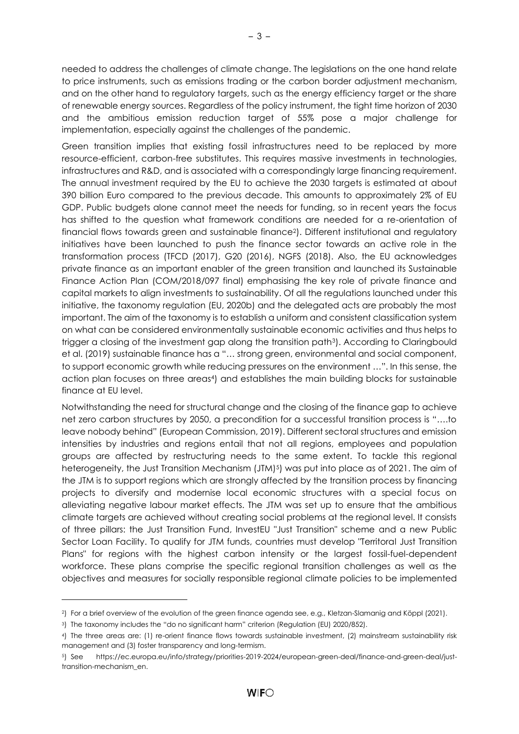needed to address the challenges of climate change. The legislations on the one hand relate to price instruments, such as emissions trading or the carbon border adjustment mechanism, and on the other hand to regulatory targets, such as the energy efficiency target or the share of renewable energy sources. Regardless of the policy instrument, the tight time horizon of 2030 and the ambitious emission reduction target of 55% pose a major challenge for implementation, especially against the challenges of the pandemic.

Green transition implies that existing fossil infrastructures need to be replaced by more resource-efficient, carbon-free substitutes. This requires massive investments in technologies, infrastructures and R&D, and is associated with a correspondingly large financing requirement. The annual investment required by the EU to achieve the 2030 targets is estimated at about 390 billion Euro compared to the previous decade. This amounts to approximately 2% of EU GDP. Public budgets alone cannot meet the needs for funding, so in recent years the focus has shifted to the question what framework conditions are needed for a re-orientation of financial flows towards green and sustainable finance2). Different institutional and regulatory initiatives have been launched to push the finance sector towards an active role in the transformation process (TFCD (2017), G20 (2016), NGFS (2018). Also, the EU acknowledges private finance as an important enabler of the green transition and launched its Sustainable Finance Action Plan (COM/2018/097 final) emphasising the key role of private finance and capital markets to align investments to sustainability. Of all the regulations launched under this initiative, the taxonomy regulation (EU, 2020b) and the delegated acts are probably the most important. The aim of the taxonomy is to establish a uniform and consistent classification system on what can be considered environmentally sustainable economic activities and thus helps to trigger a closing of the investment gap along the transition path3). According to Claringbould et al. (2019) sustainable finance has a "… strong green, environmental and social component, to support economic growth while reducing pressures on the environment …". In this sense, the action plan focuses on three areas<sup>4</sup>) and establishes the main building blocks for sustainable finance at EU level.

Notwithstanding the need for structural change and the closing of the finance gap to achieve net zero carbon structures by 2050, a precondition for a successful transition process is "….to leave nobody behind" (European Commission, 2019). Different sectoral structures and emission intensities by industries and regions entail that not all regions, employees and population groups are affected by restructuring needs to the same extent. To tackle this regional heterogeneity, the Just Transition Mechanism (JTM)<sup>5</sup>) was put into place as of 2021. The aim of the JTM is to support regions which are strongly affected by the transition process by financing projects to diversify and modernise local economic structures with a special focus on alleviating negative labour market effects. The JTM was set up to ensure that the ambitious climate targets are achieved without creating social problems at the regional level. It consists of three pillars: the Just Transition Fund, InvestEU "Just Transition" scheme and a new Public Sector Loan Facility. To qualify for JTM funds, countries must develop "Territoral Just Transition Plans" for regions with the highest carbon intensity or the largest fossil-fuel-dependent workforce. These plans comprise the specific regional transition challenges as well as the objectives and measures for socially responsible regional climate policies to be implemented

<sup>2</sup>) For a brief overview of the evolution of the green finance agenda see, e.g., Kletzan-Slamanig and Köppl (2021).

<sup>3</sup>) The taxonomy includes the "do no significant harm" criterion (Regulation (EU) 2020/852).

<sup>4</sup>) The three areas are: (1) re-orient finance flows towards sustainable investment, (2) mainstream sustainability risk management and (3) foster transparency and long-termism.

<sup>5</sup>) See https://ec.europa.eu/info/strategy/priorities-2019-2024/european-green-deal/finance-and-green-deal/justtransition-mechanism\_en.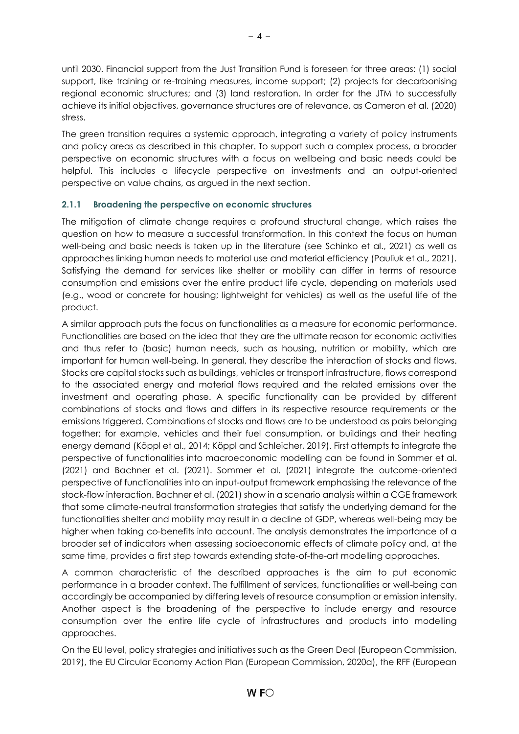until 2030. Financial support from the Just Transition Fund is foreseen for three areas: (1) social support, like training or re-training measures, income support; (2) projects for decarbonising regional economic structures; and (3) land restoration. In order for the JTM to successfully achieve its initial objectives, governance structures are of relevance, as Cameron et al. (2020) stress.

The green transition requires a systemic approach, integrating a variety of policy instruments and policy areas as described in this chapter. To support such a complex process, a broader perspective on economic structures with a focus on wellbeing and basic needs could be helpful. This includes a lifecycle perspective on investments and an output-oriented perspective on value chains, as argued in the next section.

# <span id="page-7-0"></span>**2.1.1 Broadening the perspective on economic structures**

The mitigation of climate change requires a profound structural change, which raises the question on how to measure a successful transformation. In this context the focus on human well-being and basic needs is taken up in the literature (see Schinko et al., 2021) as well as approaches linking human needs to material use and material efficiency (Pauliuk et al., 2021). Satisfying the demand for services like shelter or mobility can differ in terms of resource consumption and emissions over the entire product life cycle, depending on materials used (e.g., wood or concrete for housing; lightweight for vehicles) as well as the useful life of the product.

A similar approach puts the focus on functionalities as a measure for economic performance. Functionalities are based on the idea that they are the ultimate reason for economic activities and thus refer to (basic) human needs, such as housing, nutrition or mobility, which are important for human well-being. In general, they describe the interaction of stocks and flows. Stocks are capital stocks such as buildings, vehicles or transport infrastructure, flows correspond to the associated energy and material flows required and the related emissions over the investment and operating phase. A specific functionality can be provided by different combinations of stocks and flows and differs in its respective resource requirements or the emissions triggered. Combinations of stocks and flows are to be understood as pairs belonging together; for example, vehicles and their fuel consumption, or buildings and their heating energy demand (Köppl et al., 2014; Köppl and Schleicher, 2019). First attempts to integrate the perspective of functionalities into macroeconomic modelling can be found in Sommer et al. (2021) and Bachner et al. (2021). Sommer et al. (2021) integrate the outcome-oriented perspective of functionalities into an input-output framework emphasising the relevance of the stock-flow interaction. Bachner et al. (2021) show in a scenario analysis within a CGE framework that some climate-neutral transformation strategies that satisfy the underlying demand for the functionalities shelter and mobility may result in a decline of GDP, whereas well-being may be higher when taking co-benefits into account. The analysis demonstrates the importance of a broader set of indicators when assessing socioeconomic effects of climate policy and, at the same time, provides a first step towards extending state-of-the-art modelling approaches.

A common characteristic of the described approaches is the aim to put economic performance in a broader context. The fulfillment of services, functionalities or well-being can accordingly be accompanied by differing levels of resource consumption or emission intensity. Another aspect is the broadening of the perspective to include energy and resource consumption over the entire life cycle of infrastructures and products into modelling approaches.

On the EU level, policy strategies and initiatives such as the Green Deal (European Commission, 2019), the EU Circular Economy Action Plan (European Commission, 2020a), the RFF (European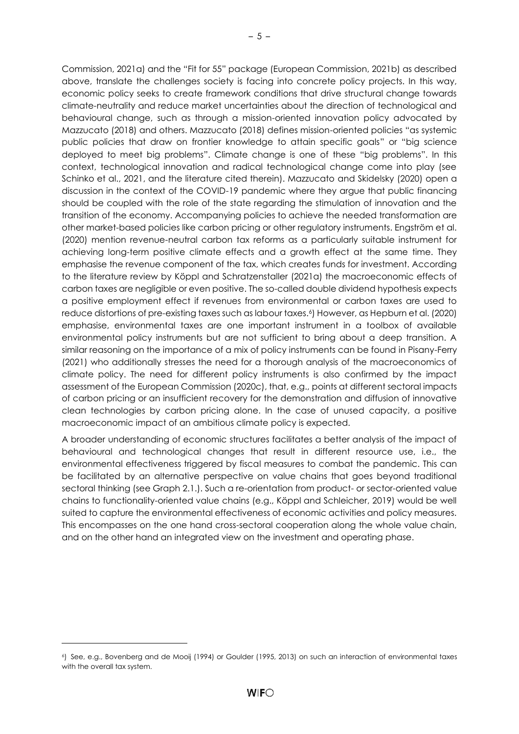Commission, 2021a) and the "Fit for 55" package (European Commission, 2021b) as described above, translate the challenges society is facing into concrete policy projects. In this way, economic policy seeks to create framework conditions that drive structural change towards climate-neutrality and reduce market uncertainties about the direction of technological and behavioural change, such as through a mission-oriented innovation policy advocated by Mazzucato (2018) and others. Mazzucato (2018) defines mission-oriented policies "as systemic public policies that draw on frontier knowledge to attain specific goals" or "big science deployed to meet big problems". Climate change is one of these "big problems". In this context, technological innovation and radical technological change come into play (see Schinko et al., 2021, and the literature cited therein). Mazzucato and Skidelsky (2020) open a discussion in the context of the COVID-19 pandemic where they argue that public financing should be coupled with the role of the state regarding the stimulation of innovation and the transition of the economy. Accompanying policies to achieve the needed transformation are other market-based policies like carbon pricing or other regulatory instruments. Engström et al. (2020) mention revenue-neutral carbon tax reforms as a particularly suitable instrument for achieving long-term positive climate effects and a growth effect at the same time. They emphasise the revenue component of the tax, which creates funds for investment. According to the literature review by Köppl and Schratzenstaller (2021a) the macroeconomic effects of carbon taxes are negligible or even positive. The so-called double dividend hypothesis expects a positive employment effect if revenues from environmental or carbon taxes are used to reduce distortions of pre-existing taxes such as labour taxes.<sup>6</sup>) However, as Hepburn et al. (2020) emphasise, environmental taxes are one important instrument in a toolbox of available environmental policy instruments but are not sufficient to bring about a deep transition. A similar reasoning on the importance of a mix of policy instruments can be found in Pisany-Ferry (2021) who additionally stresses the need for a thorough analysis of the macroeconomics of climate policy. The need for different policy instruments is also confirmed by the impact assessment of the European Commission (2020c), that, e.g., points at different sectoral impacts of carbon pricing or an insufficient recovery for the demonstration and diffusion of innovative clean technologies by carbon pricing alone. In the case of unused capacity, a positive macroeconomic impact of an ambitious climate policy is expected.

A broader understanding of economic structures facilitates a better analysis of the impact of behavioural and technological changes that result in different resource use, i.e., the environmental effectiveness triggered by fiscal measures to combat the pandemic. This can be facilitated by an alternative perspective on value chains that goes beyond traditional sectoral thinking (see Graph 2.1.). Such a re-orientation from product- or sector-oriented value chains to functionality-oriented value chains (e.g., Köppl and Schleicher, 2019) would be well suited to capture the environmental effectiveness of economic activities and policy measures. This encompasses on the one hand cross-sectoral cooperation along the whole value chain, and on the other hand an integrated view on the investment and operating phase.

<sup>6</sup>) See, e.g., Bovenberg and de Mooij (1994) or Goulder (1995, 2013) on such an interaction of environmental taxes with the overall tax system.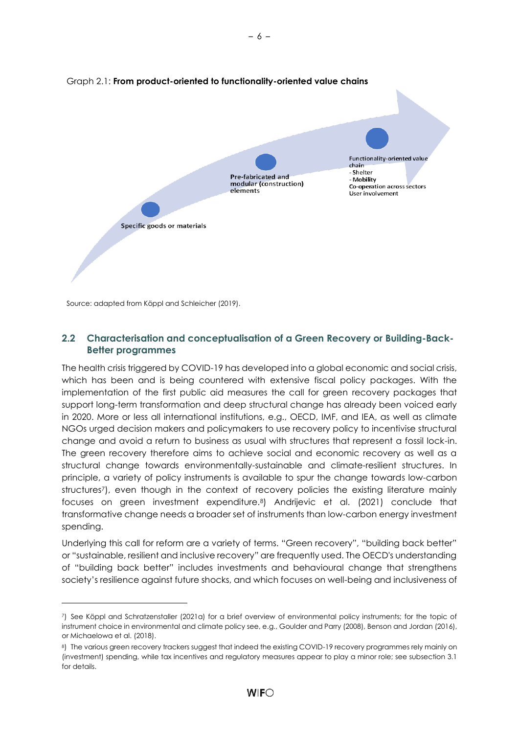<span id="page-9-1"></span>

Source: adapted from Köppl and Schleicher (2019).

# <span id="page-9-0"></span>**2.2 Characterisation and conceptualisation of a Green Recovery or Building-Back-Better programmes**

The health crisis triggered by COVID-19 has developed into a global economic and social crisis, which has been and is being countered with extensive fiscal policy packages. With the implementation of the first public aid measures the call for green recovery packages that support long-term transformation and deep structural change has already been voiced early in 2020. More or less all international institutions, e.g., OECD, IMF, and IEA, as well as climate NGOs urged decision makers and policymakers to use recovery policy to incentivise structural change and avoid a return to business as usual with structures that represent a fossil lock-in. The green recovery therefore aims to achieve social and economic recovery as well as a structural change towards environmentally-sustainable and climate-resilient structures. In principle, a variety of policy instruments is available to spur the change towards low-carbon structures<sup>7</sup>), even though in the context of recovery policies the existing literature mainly focuses on green investment expenditure.8) Andrijevic et al. (2021) conclude that transformative change needs a broader set of instruments than low-carbon energy investment spending.

Underlying this call for reform are a variety of terms. "Green recovery", "building back better" or "sustainable, resilient and inclusive recovery" are frequently used. The OECD's understanding of "building back better" includes investments and behavioural change that strengthens society's resilience against future shocks, and which focuses on well-being and inclusiveness of

<sup>7</sup>) See Köppl and Schratzenstaller (2021a) for a brief overview of environmental policy instruments; for the topic of instrument choice in environmental and climate policy see, e.g., Goulder and Parry (2008), Benson and Jordan (2016), or Michaelowa et al. (2018).

<sup>8)</sup> The various green recovery trackers suggest that indeed the existing COVID-19 recovery programmes rely mainly on (investment) spending, while tax incentives and regulatory measures appear to play a minor role; see subsection 3.1 for details.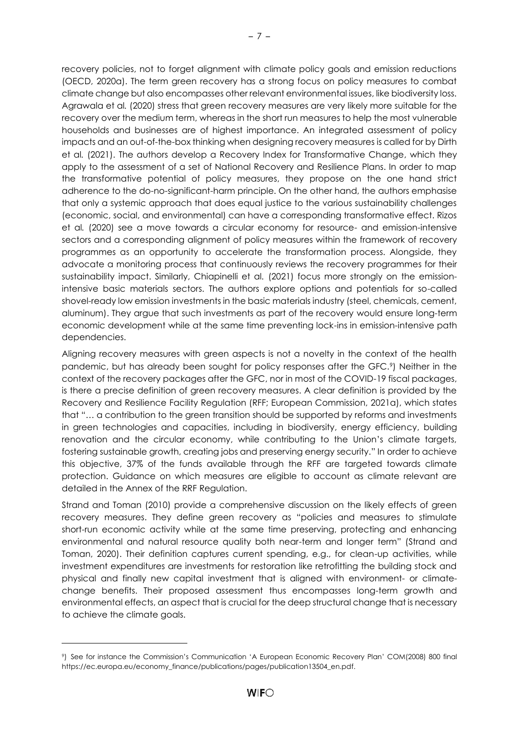recovery policies, not to forget alignment with climate policy goals and emission reductions (OECD, 2020a). The term green recovery has a strong focus on policy measures to combat climate change but also encompasses other relevant environmental issues, like biodiversity loss. Agrawala et al*.* (2020) stress that green recovery measures are very likely more suitable for the recovery over the medium term, whereas in the short run measures to help the most vulnerable households and businesses are of highest importance. An integrated assessment of policy impacts and an out-of-the-box thinking when designing recovery measures is called for by Dirth et al*.* (2021). The authors develop a Recovery Index for Transformative Change, which they apply to the assessment of a set of National Recovery and Resilience Plans. In order to map the transformative potential of policy measures, they propose on the one hand strict adherence to the do-no-significant-harm principle. On the other hand, the authors emphasise that only a systemic approach that does equal justice to the various sustainability challenges (economic, social, and environmental) can have a corresponding transformative effect. Rizos et al*.* (2020) see a move towards a circular economy for resource- and emission-intensive sectors and a corresponding alignment of policy measures within the framework of recovery programmes as an opportunity to accelerate the transformation process. Alongside, they advocate a monitoring process that continuously reviews the recovery programmes for their sustainability impact. Similarly, Chiapinelli et al*.* (2021) focus more strongly on the emissionintensive basic materials sectors. The authors explore options and potentials for so-called shovel-ready low emission investments in the basic materials industry (steel, chemicals, cement, aluminum). They argue that such investments as part of the recovery would ensure long-term economic development while at the same time preventing lock-ins in emission-intensive path dependencies.

Aligning recovery measures with green aspects is not a novelty in the context of the health pandemic, but has already been sought for policy responses after the GFC.9) Neither in the context of the recovery packages after the GFC, nor in most of the COVID-19 fiscal packages, is there a precise definition of green recovery measures. A clear definition is provided by the Recovery and Resilience Facility Regulation (RFF; European Commission, 2021a), which states that "… a contribution to the green transition should be supported by reforms and investments in green technologies and capacities, including in biodiversity, energy efficiency, building renovation and the circular economy, while contributing to the Union's climate targets, fostering sustainable growth, creating jobs and preserving energy security." In order to achieve this objective, 37% of the funds available through the RFF are targeted towards climate protection. Guidance on which measures are eligible to account as climate relevant are detailed in the Annex of the RRF Regulation.

Strand and Toman (2010) provide a comprehensive discussion on the likely effects of green recovery measures. They define green recovery as "policies and measures to stimulate short-run economic activity while at the same time preserving, protecting and enhancing environmental and natural resource quality both near-term and longer term" (Strand and Toman, 2020). Their definition captures current spending, e.g., for clean-up activities, while investment expenditures are investments for restoration like retrofitting the building stock and physical and finally new capital investment that is aligned with environment- or climatechange benefits. Their proposed assessment thus encompasses long-term growth and environmental effects, an aspect that is crucial for the deep structural change that is necessary to achieve the climate goals.

<sup>9</sup>) See for instance the Commission's Communication 'A European Economic Recovery Plan' COM(2008) 800 final https://ec.europa.eu/economy\_finance/publications/pages/publication13504\_en.pdf.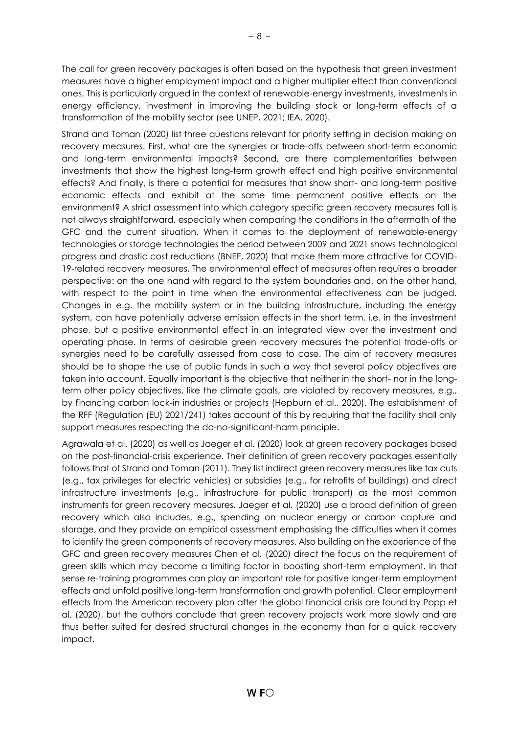The call for green recovery packages is often based on the hypothesis that green investment measures have a higher employment impact and a higher multiplier effect than conventional ones. This is particularly argued in the context of renewable-energy investments, investments in energy efficiency, investment in improving the building stock or long-term effects of a transformation of the mobility sector (see UNEP, 2021; IEA, 2020).

Strand and Toman (2020) list three questions relevant for priority setting in decision making on recovery measures. First, what are the synergies or trade-offs between short-term economic and long-term environmental impacts? Second, are there complementarities between investments that show the highest long-term growth effect and high positive environmental effects? And finally, is there a potential for measures that show short- and long-term positive economic effects and exhibit at the same time permanent positive effects on the environment? A strict assessment into which category specific green recovery measures fall is not always straightforward, especially when comparing the conditions in the aftermath of the GFC and the current situation. When it comes to the deployment of renewable-energy technologies or storage technologies the period between 2009 and 2021 shows technological progress and drastic cost reductions (BNEF, 2020) that make them more attractive for COVID-19-related recovery measures. The environmental effect of measures often requires a broader perspective: on the one hand with regard to the system boundaries and, on the other hand, with respect to the point in time when the environmental effectiveness can be judged. Changes in e.g. the mobility system or in the building infrastructure, including the energy system, can have potentially adverse emission effects in the short term, i.e. in the investment phase, but a positive environmental effect in an integrated view over the investment and operating phase. In terms of desirable green recovery measures the potential trade-offs or synergies need to be carefully assessed from case to case. The aim of recovery measures should be to shape the use of public funds in such a way that several policy objectives are taken into account. Equally important is the objective that neither in the short- nor in the longterm other policy objectives, like the climate goals, are violated by recovery measures, e.g., by financing carbon lock-in industries or projects (Hepburn et al., 2020). The establishment of the RFF (Regulation (EU) 2021/241) takes account of this by requiring that the facility shall only support measures respecting the do-no-significant-harm principle.

Agrawala et al. (2020) as well as Jaeger et al. (2020) look at green recovery packages based on the post-financial-crisis experience. Their definition of green recovery packages essentially follows that of Strand and Toman (2011). They list indirect green recovery measures like tax cuts (e.g., tax privileges for electric vehicles) or subsidies (e.g., for retrofits of buildings) and direct infrastructure investments (e.g., infrastructure for public transport) as the most common instruments for green recovery measures. Jaeger et al*.* (2020) use a broad definition of green recovery which also includes, e.g., spending on nuclear energy or carbon capture and storage, and they provide an empirical assessment emphasising the difficulties when it comes to identify the green components of recovery measures. Also building on the experience of the GFC and green recovery measures Chen et al*.* (2020) direct the focus on the requirement of green skills which may become a limiting factor in boosting short-term employment. In that sense re-training programmes can play an important role for positive longer-term employment effects and unfold positive long-term transformation and growth potential. Clear employment effects from the American recovery plan after the global financial crisis are found by Popp et al. (2020), but the authors conclude that green recovery projects work more slowly and are thus better suited for desired structural changes in the economy than for a quick recovery impact.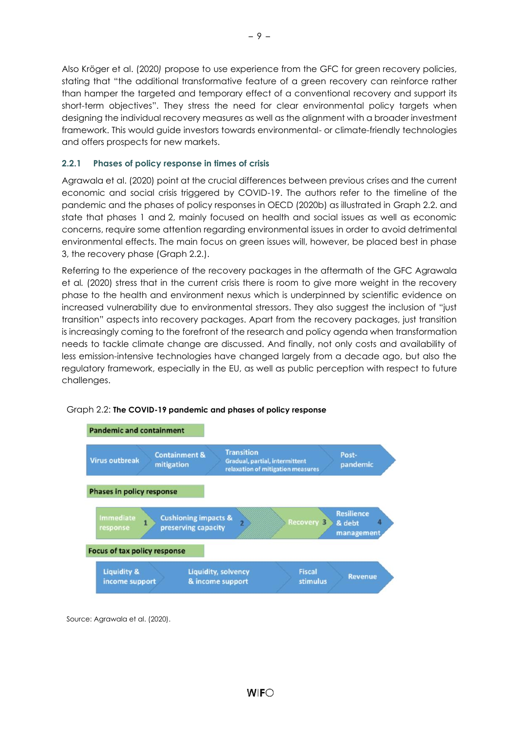Also Kröger et al. (2020*)* propose to use experience from the GFC for green recovery policies, stating that "the additional transformative feature of a green recovery can reinforce rather than hamper the targeted and temporary effect of a conventional recovery and support its short-term objectives". They stress the need for clear environmental policy targets when designing the individual recovery measures as well as the alignment with a broader investment framework. This would guide investors towards environmental- or climate-friendly technologies and offers prospects for new markets.

# <span id="page-12-0"></span>**2.2.1 Phases of policy response in times of crisis**

Agrawala et al. (2020) point at the crucial differences between previous crises and the current economic and social crisis triggered by COVID-19. The authors refer to the timeline of the pandemic and the phases of policy responses in OECD (2020b) as illustrated in Graph 2.2. and state that phases 1 and 2, mainly focused on health and social issues as well as economic concerns, require some attention regarding environmental issues in order to avoid detrimental environmental effects. The main focus on green issues will, however, be placed best in phase 3, the recovery phase (Graph 2.2.).

Referring to the experience of the recovery packages in the aftermath of the GFC Agrawala et al*.* (2020) stress that in the current crisis there is room to give more weight in the recovery phase to the health and environment nexus which is underpinned by scientific evidence on increased vulnerability due to environmental stressors. They also suggest the inclusion of "just transition" aspects into recovery packages. Apart from the recovery packages, just transition is increasingly coming to the forefront of the research and policy agenda when transformation needs to tackle climate change are discussed. And finally, not only costs and availability of less emission-intensive technologies have changed largely from a decade ago, but also the regulatory framework, especially in the EU, as well as public perception with respect to future challenges.



<span id="page-12-1"></span>

Source: Agrawala et al. (2020).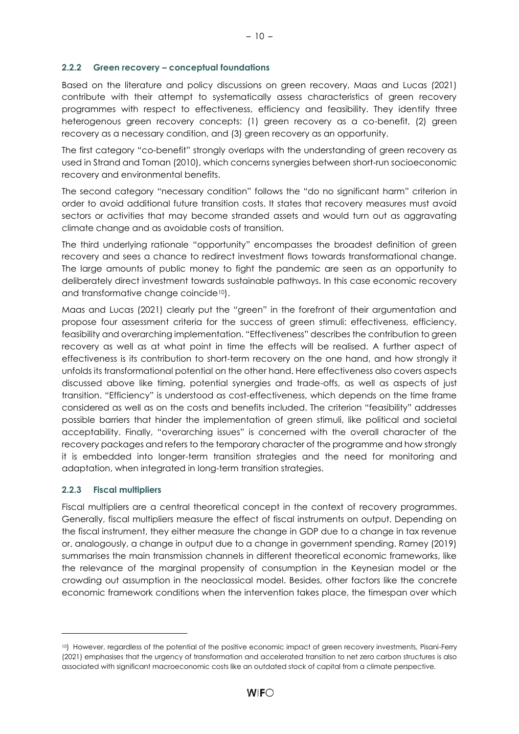#### <span id="page-13-0"></span>**2.2.2 Green recovery – conceptual foundations**

Based on the literature and policy discussions on green recovery, Maas and Lucas (2021) contribute with their attempt to systematically assess characteristics of green recovery programmes with respect to effectiveness, efficiency and feasibility. They identify three heterogenous green recovery concepts: (1) green recovery as a co-benefit, (2) green recovery as a necessary condition, and (3) green recovery as an opportunity.

The first category "co-benefit" strongly overlaps with the understanding of green recovery as used in Strand and Toman (2010), which concerns synergies between short-run socioeconomic recovery and environmental benefits.

The second category "necessary condition" follows the "do no significant harm" criterion in order to avoid additional future transition costs. It states that recovery measures must avoid sectors or activities that may become stranded assets and would turn out as aggravating climate change and as avoidable costs of transition.

The third underlying rationale "opportunity" encompasses the broadest definition of green recovery and sees a chance to redirect investment flows towards transformational change. The large amounts of public money to fight the pandemic are seen as an opportunity to deliberately direct investment towards sustainable pathways. In this case economic recovery and transformative change coincide10).

Maas and Lucas (2021) clearly put the "green" in the forefront of their argumentation and propose four assessment criteria for the success of green stimuli: effectiveness, efficiency, feasibility and overarching implementation. "Effectiveness" describes the contribution to green recovery as well as at what point in time the effects will be realised. A further aspect of effectiveness is its contribution to short-term recovery on the one hand, and how strongly it unfolds its transformational potential on the other hand. Here effectiveness also covers aspects discussed above like timing, potential synergies and trade-offs, as well as aspects of just transition. "Efficiency" is understood as cost-effectiveness, which depends on the time frame considered as well as on the costs and benefits included. The criterion "feasibility" addresses possible barriers that hinder the implementation of green stimuli, like political and societal acceptability. Finally, "overarching issues" is concerned with the overall character of the recovery packages and refers to the temporary character of the programme and how strongly it is embedded into longer-term transition strategies and the need for monitoring and adaptation, when integrated in long-term transition strategies.

# <span id="page-13-1"></span>**2.2.3 Fiscal multipliers**

Fiscal multipliers are a central theoretical concept in the context of recovery programmes. Generally, fiscal multipliers measure the effect of fiscal instruments on output. Depending on the fiscal instrument, they either measure the change in GDP due to a change in tax revenue or, analogously, a change in output due to a change in government spending. Ramey (2019) summarises the main transmission channels in different theoretical economic frameworks, like the relevance of the marginal propensity of consumption in the Keynesian model or the crowding out assumption in the neoclassical model. Besides, other factors like the concrete economic framework conditions when the intervention takes place, the timespan over which

<sup>10</sup>) However, regardless of the potential of the positive economic impact of green recovery investments, Pisani-Ferry (2021) emphasises that the urgency of transformation and accelerated transition to net zero carbon structures is also associated with significant macroeconomic costs like an outdated stock of capital from a climate perspective.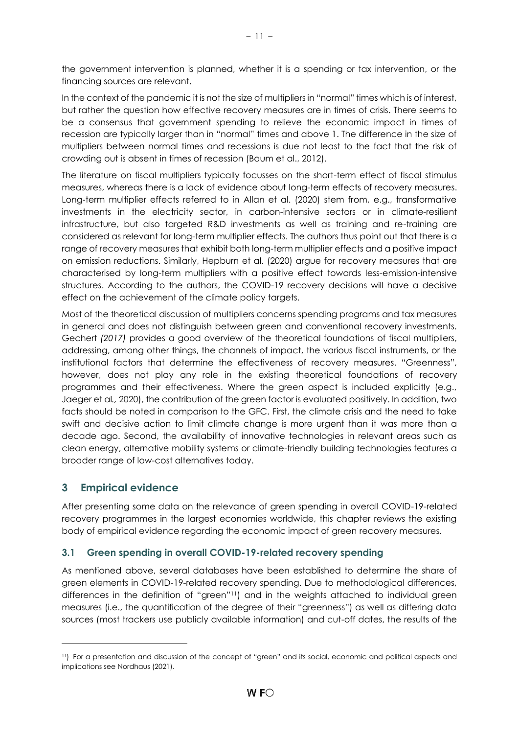the government intervention is planned, whether it is a spending or tax intervention, or the financing sources are relevant.

In the context of the pandemic it is not the size of multipliers in "normal" times which is of interest, but rather the question how effective recovery measures are in times of crisis. There seems to be a consensus that government spending to relieve the economic impact in times of recession are typically larger than in "normal" times and above 1. The difference in the size of multipliers between normal times and recessions is due not least to the fact that the risk of crowding out is absent in times of recession (Baum et al., 2012).

The literature on fiscal multipliers typically focusses on the short-term effect of fiscal stimulus measures, whereas there is a lack of evidence about long-term effects of recovery measures. Long-term multiplier effects referred to in Allan et al. (2020) stem from, e.g., transformative investments in the electricity sector, in carbon-intensive sectors or in climate-resilient infrastructure, but also targeted R&D investments as well as training and re-training are considered as relevant for long-term multiplier effects. The authors thus point out that there is a range of recovery measures that exhibit both long-term multiplier effects and a positive impact on emission reductions. Similarly, Hepburn et al. (2020) argue for recovery measures that are characterised by long-term multipliers with a positive effect towards less-emission-intensive structures. According to the authors, the COVID-19 recovery decisions will have a decisive effect on the achievement of the climate policy targets.

Most of the theoretical discussion of multipliers concerns spending programs and tax measures in general and does not distinguish between green and conventional recovery investments. Gechert *(2017)* provides a good overview of the theoretical foundations of fiscal multipliers, addressing, among other things, the channels of impact, the various fiscal instruments, or the institutional factors that determine the effectiveness of recovery measures. "Greenness", however, does not play any role in the existing theoretical foundations of recovery programmes and their effectiveness. Where the green aspect is included explicitly (e.g., Jaeger et al*.,* 2020), the contribution of the green factor is evaluated positively. In addition, two facts should be noted in comparison to the GFC. First, the climate crisis and the need to take swift and decisive action to limit climate change is more urgent than it was more than a decade ago. Second, the availability of innovative technologies in relevant areas such as clean energy, alternative mobility systems or climate-friendly building technologies features a broader range of low-cost alternatives today.

# <span id="page-14-0"></span>**3 Empirical evidence**

After presenting some data on the relevance of green spending in overall COVID-19-related recovery programmes in the largest economies worldwide, this chapter reviews the existing body of empirical evidence regarding the economic impact of green recovery measures.

# <span id="page-14-1"></span>**3.1 Green spending in overall COVID-19-related recovery spending**

As mentioned above, several databases have been established to determine the share of green elements in COVID-19-related recovery spending. Due to methodological differences, differences in the definition of "green"11) and in the weights attached to individual green measures (i.e., the quantification of the degree of their "greenness") as well as differing data sources (most trackers use publicly available information) and cut-off dates, the results of the

<sup>11</sup>) For a presentation and discussion of the concept of "green" and its social, economic and political aspects and implications see Nordhaus (2021).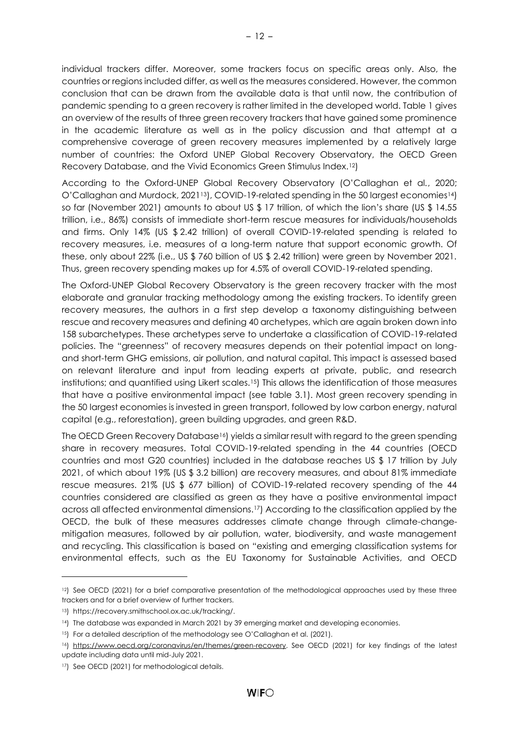individual trackers differ. Moreover, some trackers focus on specific areas only. Also, the countries or regions included differ, as well as the measures considered. However, the common conclusion that can be drawn from the available data is that until now, the contribution of pandemic spending to a green recovery is rather limited in the developed world. Table 1 gives an overview of the results of three green recovery trackers that have gained some prominence in the academic literature as well as in the policy discussion and that attempt at a comprehensive coverage of green recovery measures implemented by a relatively large number of countries: the Oxford UNEP Global Recovery Observatory, the OECD Green Recovery Database, and the Vivid Economics Green Stimulus Index.12)

According to the Oxford-UNEP Global Recovery Observatory (O'Callaghan et al*.*, 2020; O'Callaghan and Murdock, 202113), COVID-19-related spending in the 50 largest economies14) so far (November 2021) amounts to about US \$ 17 trillion, of which the lion's share (US \$ 14.55) trillion, i.e., 86%) consists of immediate short-term rescue measures for individuals/households and firms. Only 14% (US \$ 2.42 trillion) of overall COVID-19-related spending is related to recovery measures, i.e. measures of a long-term nature that support economic growth. Of these, only about 22% (i.e., US \$ 760 billion of US \$ 2.42 trillion) were green by November 2021. Thus, green recovery spending makes up for 4.5% of overall COVID-19-related spending.

The Oxford-UNEP Global Recovery Observatory is the green recovery tracker with the most elaborate and granular tracking methodology among the existing trackers. To identify green recovery measures, the authors in a first step develop a taxonomy distinguishing between rescue and recovery measures and defining 40 archetypes, which are again broken down into 158 subarchetypes. These archetypes serve to undertake a classification of COVID-19-related policies. The "greenness" of recovery measures depends on their potential impact on longand short-term GHG emissions, air pollution, and natural capital. This impact is assessed based on relevant literature and input from leading experts at private, public, and research institutions; and quantified using Likert scales.<sup>15</sup>) This allows the identification of those measures that have a positive environmental impact (see table 3.1). Most green recovery spending in the 50 largest economies is invested in green transport, followed by low carbon energy, natural capital (e.g., reforestation), green building upgrades, and green R&D.

The OECD Green Recovery Database<sup>16</sup>) yields a similar result with regard to the green spending share in recovery measures. Total COVID-19-related spending in the 44 countries (OECD countries and most G20 countries) included in the database reaches US \$ 17 trillion by July 2021, of which about 19% (US \$ 3.2 billion) are recovery measures, and about 81% immediate rescue measures. 21% (US \$ 677 billion) of COVID-19-related recovery spending of the 44 countries considered are classified as green as they have a positive environmental impact across all affected environmental dimensions.17) According to the classification applied by the OECD, the bulk of these measures addresses climate change through climate-changemitigation measures, followed by air pollution, water, biodiversity, and waste management and recycling. This classification is based on "existing and emerging classification systems for environmental effects, such as the EU Taxonomy for Sustainable Activities, and OECD

<sup>&</sup>lt;sup>12</sup>) See OECD (2021) for a brief comparative presentation of the methodological approaches used by these three trackers and for a brief overview of further trackers.

<sup>13</sup>) https://recovery.smithschool.ox.ac.uk/tracking/.

<sup>14</sup>) The database was expanded in March 2021 by 39 emerging market and developing economies.

<sup>15)</sup> For a detailed description of the methodology see O'Callaghan et al. (2021).

<sup>16</sup>) [https://www.oecd.org/coronavirus/en/themes/green-recovery.](https://www.oecd.org/coronavirus/en/themes/green-recovery) See OECD (2021) for key findings of the latest update including data until mid-July 2021.

<sup>17</sup>) See OECD (2021) for methodological details.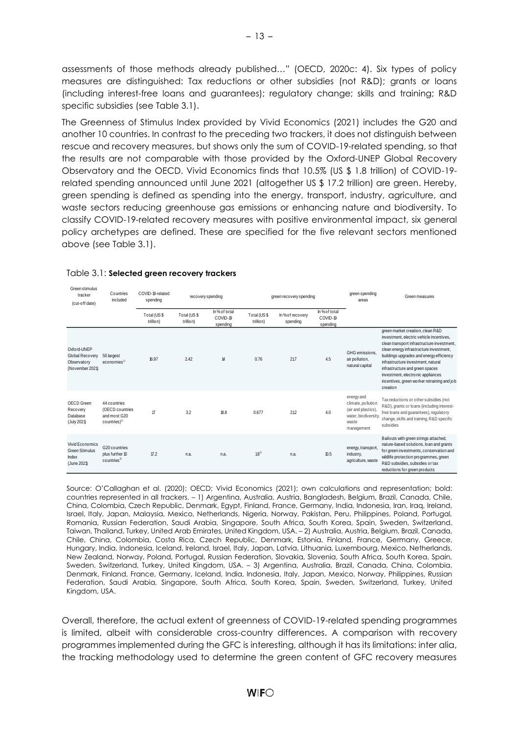assessments of those methods already published…" (OECD, 2020c: 4). Six types of policy measures are distinguished: Tax reductions or other subsidies (not R&D); grants or loans (including interest-free loans and guarantees); regulatory change; skills and training; R&D specific subsidies (see Table 3.1).

The Greenness of Stimulus Index provided by Vivid Economics (2021) includes the G20 and another 10 countries. In contrast to the preceding two trackers, it does not distinguish between rescue and recovery measures, but shows only the sum of COVID-19-related spending, so that the results are not comparable with those provided by the Oxford-UNEP Global Recovery Observatory and the OECD. Vivid Economics finds that 10.5% (US \$ 1.8 trillion) of COVID-19 related spending announced until June 2021 (altogether US \$ 17.2 trillion) are green. Hereby, green spending is defined as spending into the energy, transport, industry, agriculture, and waste sectors reducing greenhouse gas emissions or enhancing nature and biodiversity. To classify COVID-19-related recovery measures with positive environmental impact, six general policy archetypes are defined. These are specified for the five relevant sectors mentioned above (see Table 3.1).

| Green stimulus<br>tracker<br>(cut-off date)                      | Countries<br>included                                               | COVID-19-related<br>spending | recovery spending        |                                       | green recovery spending  |                              | green spending<br>areas               | Green measures                                                                                          |                                                                                                                                                                                                                                                                                                                                                                                            |
|------------------------------------------------------------------|---------------------------------------------------------------------|------------------------------|--------------------------|---------------------------------------|--------------------------|------------------------------|---------------------------------------|---------------------------------------------------------------------------------------------------------|--------------------------------------------------------------------------------------------------------------------------------------------------------------------------------------------------------------------------------------------------------------------------------------------------------------------------------------------------------------------------------------------|
|                                                                  |                                                                     | Total (US\$<br>trillion)     | Total (US\$<br>trillion) | In % of total<br>COVID-19<br>spending | Total (US\$<br>trillion) | In % of recovery<br>spending | In % of total<br>COVID-19<br>spending |                                                                                                         |                                                                                                                                                                                                                                                                                                                                                                                            |
| Oxford-UNEP<br>Global Recovery<br>Observatory<br>(November 2021) | 50 largest<br>$e$ conomies <sup>1)</sup>                            | 16.97                        | 2.42                     | 14                                    | 0.76                     | 217                          | 4.5                                   | GHG emissions.<br>air pollution,<br>natural capital                                                     | green market creation, clean R&D<br>investment, electric vehicle incentives.<br>clean transport infrastructure investment,<br>clean energy infrastructure investment,<br>buildings upgrades and energy efficiency<br>infrastructure investment, natural<br>infrastructure and green spaces<br>investment, electronic appliances<br>incentives, green worker retraining and job<br>creation |
| OECD Green<br>Recovery<br>Database<br>(July 2021)                | 44 countries<br>(OECD countries<br>and most G20<br>$countries)^{2}$ | $\boldsymbol{\tau}$          | 3.2                      | 18.8                                  | 0.677                    | 21.2                         | 4.0                                   | energy and<br>climate, pollution<br>(air and plastics).<br>water, bio diversity,<br>waste<br>management | Tax reductions or other subsidies (not<br>R&D), grants or loans (including interest-<br>free loans and quarantees), requiatory<br>change, skills and training, R&D specific<br>subsidies                                                                                                                                                                                                   |
| Vivid Economics<br><b>Green Stimulus</b><br>Index<br>(June 2021) | G20 countries<br>plus further 10<br>countries <sup>3)</sup>         | 17.2                         | n.a.                     | n.a.                                  | $18^{1}$                 | n.a.                         | 10.5                                  | energy, transport<br>industry,<br>agriculture, waste                                                    | Bailouts with green strings attached,<br>nature-based solutions, loan and grants<br>for green investments, conservation and<br>wildlife protection programmes, green<br>R&D subsidies, subsidies or tax<br>reductions for green products                                                                                                                                                   |

#### <span id="page-16-0"></span>Table 3.1: **Selected green recovery trackers**

Source: O'Callaghan et al. (2020); OECD; Vivid Economics (2021); own calculations and representation; bold: countries represented in all trackers. – 1) Argentina, Australia, Austria, Bangladesh, Belgium, Brazil, Canada, Chile, China, Colombia, Czech Republic, Denmark, Egypt, Finland, France, Germany, India, Indonesia, Iran, Iraq, Ireland, Israel, Italy, Japan, Malaysia, Mexico, Netherlands, Nigeria, Norway, Pakistan, Peru, Philippines, Poland, Portugal, Romania, Russian Federation, Saudi Arabia, Singapore, South Africa, South Korea, Spain, Sweden, Switzerland, Taiwan, Thailand, Turkey, United Arab Emirates, United Kingdom, USA. – 2) Australia, Austria, Belgium, Brazil, Canada, Chile, China, Colombia, Costa Rica, Czech Republic, Denmark, Estonia, Finland, France, Germany, Greece, Hungary, India, Indonesia, Iceland, Ireland, Israel, Italy, Japan, Latvia, Lithuania, Luxembourg, Mexico, Netherlands, New Zealand, Norway, Poland, Portugal, Russian Federation, Slovakia, Slovenia, South Africa, South Korea, Spain, Sweden, Switzerland, Turkey, United Kingdom, USA. – 3) Argentina, Australia, Brazil, Canada, China, Colombia, Denmark, Finland, France, Germany, Iceland, India, Indonesia, Italy, Japan, Mexico, Norway, Philippines, Russian Federation, Saudi Arabia, Singapore, South Africa, South Korea, Spain, Sweden, Switzerland, Turkey, United Kingdom, USA.

Overall, therefore, the actual extent of greenness of COVID-19-related spending programmes is limited, albeit with considerable cross-country differences. A comparison with recovery programmes implemented during the GFC is interesting, although it has its limitations: inter alia, the tracking methodology used to determine the green content of GFC recovery measures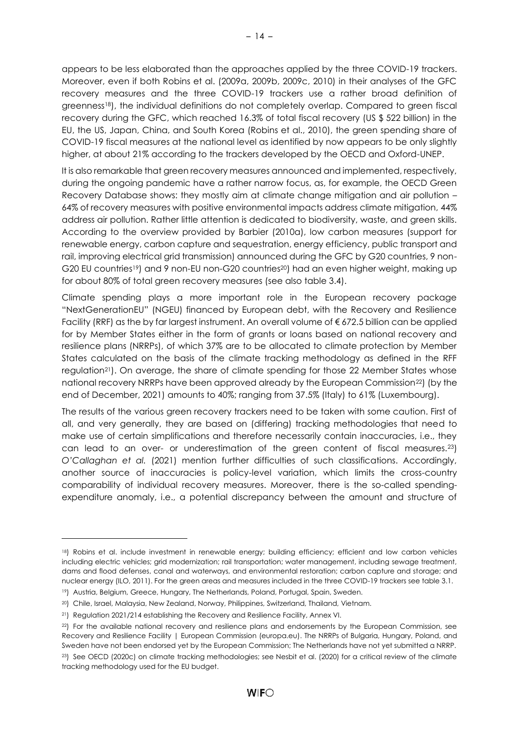appears to be less elaborated than the approaches applied by the three COVID-19 trackers. Moreover, even if both Robins et al. (2009a, 2009b, 2009c, 2010) in their analyses of the GFC recovery measures and the three COVID-19 trackers use a rather broad definition of greenness18), the individual definitions do not completely overlap. Compared to green fiscal recovery during the GFC, which reached 16.3% of total fiscal recovery (US \$ 522 billion) in the EU, the US, Japan, China, and South Korea (Robins et al., 2010), the green spending share of COVID-19 fiscal measures at the national level as identified by now appears to be only slightly higher, at about 21% according to the trackers developed by the OECD and Oxford-UNEP.

It is also remarkable that green recovery measures announced and implemented, respectively, during the ongoing pandemic have a rather narrow focus, as, for example, the OECD Green Recovery Database shows: they mostly aim at climate change mitigation and air pollution – 64% of recovery measures with positive environmental impacts address climate mitigation, 44% address air pollution. Rather little attention is dedicated to biodiversity, waste, and green skills. According to the overview provided by Barbier (2010a), low carbon measures (support for renewable energy, carbon capture and sequestration, energy efficiency, public transport and rail, improving electrical grid transmission) announced during the GFC by G20 countries, 9 non-G20 EU countries<sup>19</sup>) and 9 non-EU non-G20 countries<sup>20</sup>) had an even higher weight, making up for about 80% of total green recovery measures (see also table 3.4).

Climate spending plays a more important role in the European recovery package "NextGenerationEU" (NGEU) financed by European debt, with the Recovery and Resilience Facility (RRF) as the by far largest instrument. An overall volume of € 672.5 billion can be applied for by Member States either in the form of grants or loans based on national recovery and resilience plans (NRRPs), of which 37% are to be allocated to climate protection by Member States calculated on the basis of the climate tracking methodology as defined in the RFF regulation<sup>21</sup>). On average, the share of climate spending for those 22 Member States whose national recovery NRRPs have been approved already by the European Commission<sup>22</sup>) (by the end of December, 2021) amounts to 40%; ranging from 37.5% (Italy) to 61% (Luxembourg).

The results of the various green recovery trackers need to be taken with some caution. First of all, and very generally, they are based on (differing) tracking methodologies that need to make use of certain simplifications and therefore necessarily contain inaccuracies, i.e., they can lead to an over- or underestimation of the green content of fiscal measures.23) *O'Callaghan et al.* (2021) mention further difficulties of such classifications. Accordingly, another source of inaccuracies is policy-level variation, which limits the cross-country comparability of individual recovery measures. Moreover, there is the so-called spendingexpenditure anomaly, i.e., a potential discrepancy between the amount and structure of

<sup>18</sup>) Robins et al. include investment in renewable energy; building efficiency; efficient and low carbon vehicles including electric vehicles; grid modernization; rail transportation; water management, including sewage treatment, dams and flood defenses, canal and waterways, and environmental restoration; carbon capture and storage; and nuclear energy (ILO, 2011). For the green areas and measures included in the three COVID-19 trackers see table 3.1.

<sup>19</sup>) Austria, Belgium, Greece, Hungary, The Netherlands, Poland, Portugal, Spain, Sweden.

<sup>20</sup>) Chile, Israel, Malaysia, New Zealand, Norway, Philippines, Switzerland, Thailand, Vietnam.

<sup>&</sup>lt;sup>21</sup>) Regulation 2021/214 establishing the Recovery and Resilience Facility, Annex VI.

<sup>22</sup>) For the available national recovery and resilience plans and endorsements by the European Commission, see [Recovery and Resilience Facility | European Commission \(europa.eu\).](https://ec.europa.eu/info/business-economy-euro/recovery-coronavirus/recovery-and-resilience-facility_en#national-recovery-and-resilience-plans) The NRRPs of Bulgaria, Hungary, Poland, and Sweden have not been endorsed yet by the European Commission; The Netherlands have not yet submitted a NRRP.

<sup>&</sup>lt;sup>23</sup>) See OECD (2020c) on climate tracking methodologies; see Nesbit et al. (2020) for a critical review of the climate tracking methodology used for the EU budget.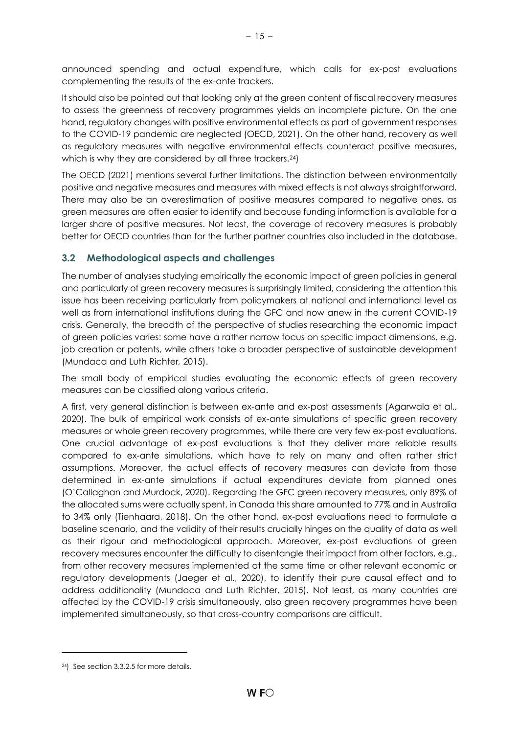announced spending and actual expenditure, which calls for ex-post evaluations complementing the results of the ex-ante trackers.

It should also be pointed out that looking only at the green content of fiscal recovery measures to assess the greenness of recovery programmes yields an incomplete picture. On the one hand, regulatory changes with positive environmental effects as part of government responses to the COVID-19 pandemic are neglected (OECD, 2021). On the other hand, recovery as well as regulatory measures with negative environmental effects counteract positive measures, which is why they are considered by all three trackers.<sup>24</sup>)

The OECD (2021) mentions several further limitations. The distinction between environmentally positive and negative measures and measures with mixed effects is not always straightforward. There may also be an overestimation of positive measures compared to negative ones, as green measures are often easier to identify and because funding information is available for a larger share of positive measures. Not least, the coverage of recovery measures is probably better for OECD countries than for the further partner countries also included in the database.

# <span id="page-18-0"></span>**3.2 Methodological aspects and challenges**

The number of analyses studying empirically the economic impact of green policies in general and particularly of green recovery measures is surprisingly limited, considering the attention this issue has been receiving particularly from policymakers at national and international level as well as from international institutions during the GFC and now anew in the current COVID-19 crisis. Generally, the breadth of the perspective of studies researching the economic impact of green policies varies: some have a rather narrow focus on specific impact dimensions, e.g. job creation or patents, while others take a broader perspective of sustainable development (Mundaca and Luth Richter*,* 2015).

The small body of empirical studies evaluating the economic effects of green recovery measures can be classified along various criteria.

A first, very general distinction is between ex-ante and ex-post assessments (Agarwala et al., 2020). The bulk of empirical work consists of ex-ante simulations of specific green recovery measures or whole green recovery programmes, while there are very few ex-post evaluations. One crucial advantage of ex-post evaluations is that they deliver more reliable results compared to ex-ante simulations, which have to rely on many and often rather strict assumptions. Moreover, the actual effects of recovery measures can deviate from those determined in ex-ante simulations if actual expenditures deviate from planned ones (O'Callaghan and Murdock, 2020). Regarding the GFC green recovery measures, only 89% of the allocated sums were actually spent, in Canada this share amounted to 77% and in Australia to 34% only (Tienhaara, 2018). On the other hand, ex-post evaluations need to formulate a baseline scenario, and the validity of their results crucially hinges on the quality of data as well as their rigour and methodological approach. Moreover, ex-post evaluations of green recovery measures encounter the difficulty to disentangle their impact from other factors, e.g., from other recovery measures implemented at the same time or other relevant economic or regulatory developments (Jaeger et al., 2020), to identify their pure causal effect and to address additionality (Mundaca and Luth Richter, 2015). Not least, as many countries are affected by the COVID-19 crisis simultaneously, also green recovery programmes have been implemented simultaneously, so that cross-country comparisons are difficult.

<sup>24</sup>) See section 3.3.2.5 for more details.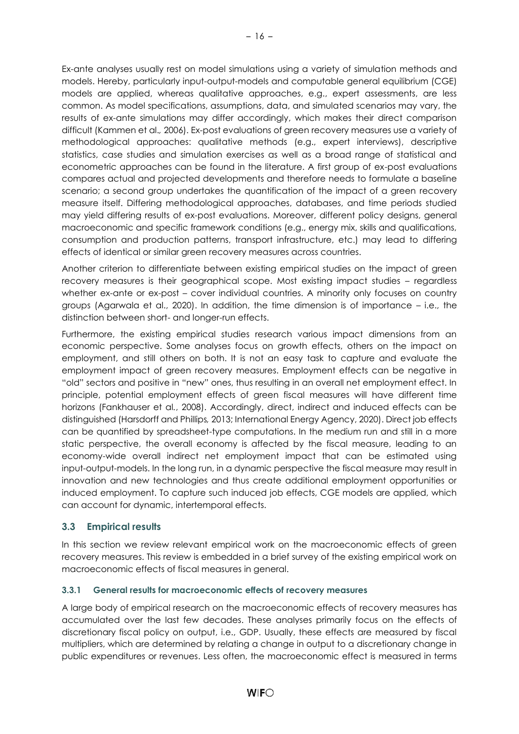Ex-ante analyses usually rest on model simulations using a variety of simulation methods and models. Hereby, particularly input-output-models and computable general equilibrium (CGE) models are applied, whereas qualitative approaches, e.g., expert assessments, are less common. As model specifications, assumptions, data, and simulated scenarios may vary, the results of ex-ante simulations may differ accordingly, which makes their direct comparison difficult (Kammen et al.*,* 2006). Ex-post evaluations of green recovery measures use a variety of methodological approaches: qualitative methods (e.g., expert interviews), descriptive statistics, case studies and simulation exercises as well as a broad range of statistical and econometric approaches can be found in the literature. A first group of ex-post evaluations compares actual and projected developments and therefore needs to formulate a baseline scenario; a second group undertakes the quantification of the impact of a green recovery measure itself. Differing methodological approaches, databases, and time periods studied may yield differing results of ex-post evaluations. Moreover, different policy designs, general macroeconomic and specific framework conditions (e.g., energy mix, skills and qualifications, consumption and production patterns, transport infrastructure, etc.) may lead to differing effects of identical or similar green recovery measures across countries.

Another criterion to differentiate between existing empirical studies on the impact of green recovery measures is their geographical scope. Most existing impact studies – regardless whether ex-ante or ex-post – cover individual countries. A minority only focuses on country groups (Agarwala et al., 2020). In addition, the time dimension is of importance – i.e., the distinction between short- and longer-run effects.

Furthermore, the existing empirical studies research various impact dimensions from an economic perspective. Some analyses focus on growth effects, others on the impact on employment, and still others on both. It is not an easy task to capture and evaluate the employment impact of green recovery measures. Employment effects can be negative in "old" sectors and positive in "new" ones, thus resulting in an overall net employment effect. In principle, potential employment effects of green fiscal measures will have different time horizons (Fankhauser et al*.*, 2008). Accordingly, direct, indirect and induced effects can be distinguished (Harsdorff and Phillips*,* 2013; International Energy Agency, 2020). Direct job effects can be quantified by spreadsheet-type computations. In the medium run and still in a more static perspective, the overall economy is affected by the fiscal measure, leading to an economy-wide overall indirect net employment impact that can be estimated using input-output-models. In the long run, in a dynamic perspective the fiscal measure may result in innovation and new technologies and thus create additional employment opportunities or induced employment. To capture such induced job effects, CGE models are applied, which can account for dynamic, intertemporal effects.

# <span id="page-19-0"></span>**3.3 Empirical results**

In this section we review relevant empirical work on the macroeconomic effects of green recovery measures. This review is embedded in a brief survey of the existing empirical work on macroeconomic effects of fiscal measures in general.

# <span id="page-19-1"></span>**3.3.1 General results for macroeconomic effects of recovery measures**

A large body of empirical research on the macroeconomic effects of recovery measures has accumulated over the last few decades. These analyses primarily focus on the effects of discretionary fiscal policy on output, i.e., GDP. Usually, these effects are measured by fiscal multipliers, which are determined by relating a change in output to a discretionary change in public expenditures or revenues. Less often, the macroeconomic effect is measured in terms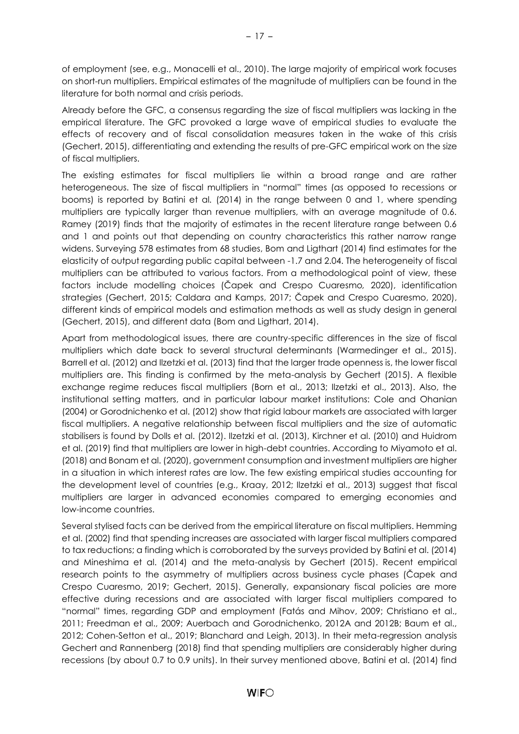of employment (see, e.g., Monacelli et al., 2010). The large majority of empirical work focuses on short-run multipliers. Empirical estimates of the magnitude of multipliers can be found in the literature for both normal and crisis periods.

Already before the GFC, a consensus regarding the size of fiscal multipliers was lacking in the empirical literature. The GFC provoked a large wave of empirical studies to evaluate the effects of recovery and of fiscal consolidation measures taken in the wake of this crisis (Gechert, 2015), differentiating and extending the results of pre-GFC empirical work on the size of fiscal multipliers.

The existing estimates for fiscal multipliers lie within a broad range and are rather heterogeneous. The size of fiscal multipliers in "normal" times (as opposed to recessions or booms) is reported by Batini et al*.* (2014) in the range between 0 and 1, where spending multipliers are typically larger than revenue multipliers, with an average magnitude of 0.6. Ramey (2019) finds that the majority of estimates in the recent literature range between 0.6 and 1 and points out that depending on country characteristics this rather narrow range widens. Surveying 578 estimates from 68 studies, Bom and Ligthart (2014) find estimates for the elasticity of output regarding public capital between -1.7 and 2.04. The heterogeneity of fiscal multipliers can be attributed to various factors. From a methodological point of view, these factors include modelling choices (Čapek and Crespo Cuaresmo*,* 2020), identification strategies (Gechert, 2015; Caldara and Kamps, 2017; Čapek and Crespo Cuaresmo, 2020), different kinds of empirical models and estimation methods as well as study design in general (Gechert, 2015), and different data (Bom and Ligthart, 2014).

Apart from methodological issues, there are country-specific differences in the size of fiscal multipliers which date back to several structural determinants (Warmedinger et al., 2015). Barrell et al. (2012) and Ilzetzki et al. (2013) find that the larger trade openness is, the lower fiscal multipliers are. This finding is confirmed by the meta-analysis by Gechert (2015). A flexible exchange regime reduces fiscal multipliers (Born et al., 2013; Ilzetzki et al., 2013). Also, the institutional setting matters, and in particular labour market institutions: Cole and Ohanian (2004) or Gorodnichenko et al. (2012) show that rigid labour markets are associated with larger fiscal multipliers. A negative relationship between fiscal multipliers and the size of automatic stabilisers is found by Dolls et al. (2012). Ilzetzki et al. (2013), Kirchner et al. (2010) and Huidrom et al. (2019) find that multipliers are lower in high-debt countries. According to Miyamoto et al. (2018) and Bonam et al. (2020), government consumption and investment multipliers are higher in a situation in which interest rates are low. The few existing empirical studies accounting for the development level of countries (e.g., Kraay, 2012; Ilzetzki et al., 2013) suggest that fiscal multipliers are larger in advanced economies compared to emerging economies and low-income countries.

Several stylised facts can be derived from the empirical literature on fiscal multipliers. Hemming et al. (2002) find that spending increases are associated with larger fiscal multipliers compared to tax reductions; a finding which is corroborated by the surveys provided by Batini et al. (2014) and Mineshima et al. (2014) and the meta-analysis by Gechert (2015). Recent empirical research points to the asymmetry of multipliers across business cycle phases (Čapek and Crespo Cuaresmo, 2019; Gechert, 2015). Generally, expansionary fiscal policies are more effective during recessions and are associated with larger fiscal multipliers compared to "normal" times, regarding GDP and employment (Fatás and Mihov, 2009; Christiano et al., 2011; Freedman et al., 2009; Auerbach and Gorodnichenko, 2012A and 2012B; Baum et al., 2012; Cohen-Setton et al., 2019; Blanchard and Leigh, 2013). In their meta-regression analysis Gechert and Rannenberg (2018) find that spending multipliers are considerably higher during recessions (by about 0.7 to 0.9 units). In their survey mentioned above, Batini et al. (2014) find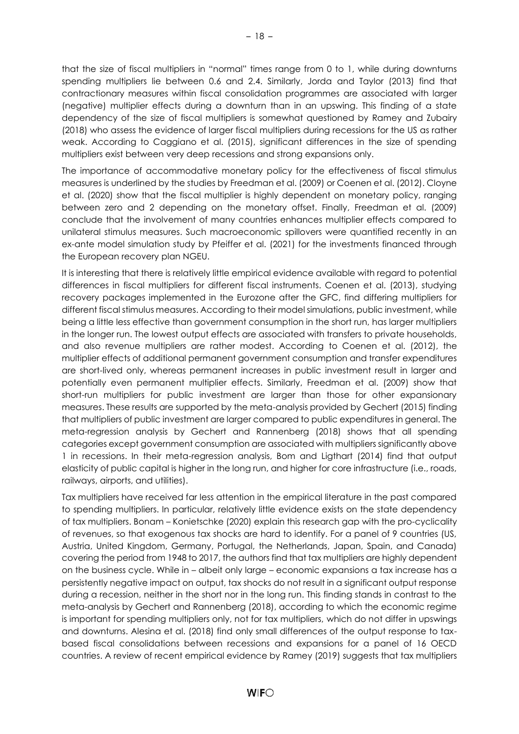that the size of fiscal multipliers in "normal" times range from 0 to 1, while during downturns spending multipliers lie between 0.6 and 2.4. Similarly, Jorda and Taylor (2013) find that contractionary measures within fiscal consolidation programmes are associated with larger (negative) multiplier effects during a downturn than in an upswing. This finding of a state dependency of the size of fiscal multipliers is somewhat questioned by Ramey and Zubairy (2018) who assess the evidence of larger fiscal multipliers during recessions for the US as rather weak. According to Caggiano et al. (2015), significant differences in the size of spending multipliers exist between very deep recessions and strong expansions only.

The importance of accommodative monetary policy for the effectiveness of fiscal stimulus measures is underlined by the studies by Freedman et al. (2009) or Coenen et al. (2012). Cloyne et al. (2020) show that the fiscal multiplier is highly dependent on monetary policy, ranging between zero and 2 depending on the monetary offset. Finally, Freedman et al. (2009) conclude that the involvement of many countries enhances multiplier effects compared to unilateral stimulus measures. Such macroeconomic spillovers were quantified recently in an ex-ante model simulation study by Pfeiffer et al. (2021) for the investments financed through the European recovery plan NGEU.

It is interesting that there is relatively little empirical evidence available with regard to potential differences in fiscal multipliers for different fiscal instruments. Coenen et al. (2013), studying recovery packages implemented in the Eurozone after the GFC, find differing multipliers for different fiscal stimulus measures. According to their model simulations, public investment, while being a little less effective than government consumption in the short run, has larger multipliers in the longer run. The lowest output effects are associated with transfers to private households, and also revenue multipliers are rather modest. According to Coenen et al. (2012), the multiplier effects of additional permanent government consumption and transfer expenditures are short-lived only, whereas permanent increases in public investment result in larger and potentially even permanent multiplier effects. Similarly, Freedman et al. (2009) show that short-run multipliers for public investment are larger than those for other expansionary measures. These results are supported by the meta-analysis provided by Gechert (2015) finding that multipliers of public investment are larger compared to public expenditures in general. The meta-regression analysis by Gechert and Rannenberg (2018) shows that all spending categories except government consumption are associated with multipliers significantly above 1 in recessions. In their meta-regression analysis, Bom and Ligthart (2014) find that output elasticity of public capital is higher in the long run, and higher for core infrastructure (i.e., roads, railways, airports, and utilities).

Tax multipliers have received far less attention in the empirical literature in the past compared to spending multipliers. In particular, relatively little evidence exists on the state dependency of tax multipliers. Bonam – Konietschke (2020) explain this research gap with the pro-cyclicality of revenues, so that exogenous tax shocks are hard to identify. For a panel of 9 countries (US, Austria, United Kingdom, Germany, Portugal, the Netherlands, Japan, Spain, and Canada) covering the period from 1948 to 2017, the authors find that tax multipliers are highly dependent on the business cycle. While in – albeit only large – economic expansions a tax increase has a persistently negative impact on output, tax shocks do not result in a significant output response during a recession, neither in the short nor in the long run. This finding stands in contrast to the meta-analysis by Gechert and Rannenberg (2018), according to which the economic regime is important for spending multipliers only, not for tax multipliers, which do not differ in upswings and downturns. Alesina et al. (2018) find only small differences of the output response to taxbased fiscal consolidations between recessions and expansions for a panel of 16 OECD countries. A review of recent empirical evidence by Ramey (2019) suggests that tax multipliers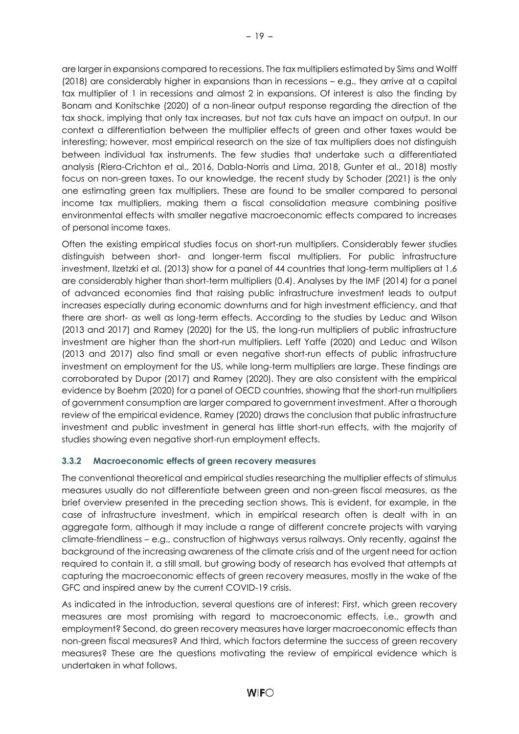are larger in expansions compared to recessions. The tax multipliers estimated by Sims and Wolff (2018) are considerably higher in expansions than in recessions – e.g., they arrive at a capital tax multiplier of 1 in recessions and almost 2 in expansions. Of interest is also the finding by Bonam and Konitschke (2020) of a non-linear output response regarding the direction of the tax shock, implying that only tax increases, but not tax cuts have an impact on output. In our context a differentiation between the multiplier effects of green and other taxes would be interesting; however, most empirical research on the size of tax multipliers does not distinguish between individual tax instruments. The few studies that undertake such a differentiated analysis (Riera-Crichton et al., 2016, Dabla-Norris and Lima, 2018, Gunter et al., 2018) mostly focus on non-green taxes. To our knowledge, the recent study by Schoder (2021) is the only one estimating green tax multipliers. These are found to be smaller compared to personal income tax multipliers, making them a fiscal consolidation measure combining positive environmental effects with smaller negative macroeconomic effects compared to increases of personal income taxes.

Often the existing empirical studies focus on short-run multipliers. Considerably fewer studies distinguish between short- and longer-term fiscal multipliers. For public infrastructure investment, Ilzetzki et al. (2013) show for a panel of 44 countries that long-term multipliers at 1.6 are considerably higher than short-term multipliers (0.4). Analyses by the IMF (2014) for a panel of advanced economies find that raising public infrastructure investment leads to output increases especially during economic downturns and for high investment efficiency, and that there are short- as well as long-term effects. According to the studies by Leduc and Wilson (2013 and 2017) and Ramey (2020) for the US, the long-run multipliers of public infrastructure investment are higher than the short-run multipliers. Leff Yaffe (2020) and Leduc and Wilson (2013 and 2017) also find small or even negative short-run effects of public infrastructure investment on employment for the US, while long-term multipliers are large. These findings are corroborated by Dupor (2017) and Ramey (2020). They are also consistent with the empirical evidence by Boehm (2020) for a panel of OECD countries, showing that the short-run multipliers of government consumption are larger compared to government investment. After a thorough review of the empirical evidence, Ramey (2020) draws the conclusion that public infrastructure investment and public investment in general has little short-run effects, with the majority of studies showing even negative short-run employment effects.

# <span id="page-22-0"></span>**3.3.2 Macroeconomic effects of green recovery measures**

The conventional theoretical and empirical studies researching the multiplier effects of stimulus measures usually do not differentiate between green and non-green fiscal measures, as the brief overview presented in the preceding section shows. This is evident, for example, in the case of infrastructure investment, which in empirical research often is dealt with in an aggregate form, although it may include a range of different concrete projects with varying climate-friendliness – e.g., construction of highways versus railways. Only recently, against the background of the increasing awareness of the climate crisis and of the urgent need for action required to contain it, a still small, but growing body of research has evolved that attempts at capturing the macroeconomic effects of green recovery measures, mostly in the wake of the GFC and inspired anew by the current COVID-19 crisis.

As indicated in the introduction, several questions are of interest: First, which green recovery measures are most promising with regard to macroeconomic effects, i.e., growth and employment? Second, do green recovery measures have larger macroeconomic effects than non-green fiscal measures? And third, which factors determine the success of green recovery measures? These are the questions motivating the review of empirical evidence which is undertaken in what follows.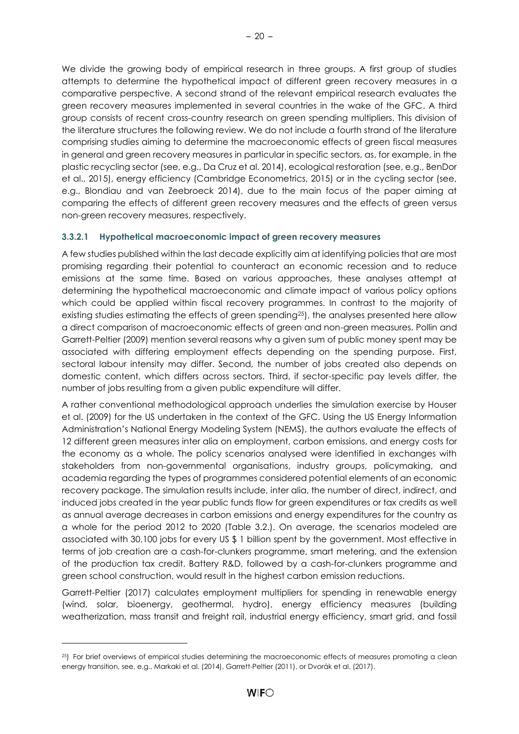We divide the growing body of empirical research in three groups. A first group of studies attempts to determine the hypothetical impact of different green recovery measures in a comparative perspective. A second strand of the relevant empirical research evaluates the green recovery measures implemented in several countries in the wake of the GFC. A third group consists of recent cross-country research on green spending multipliers. This division of the literature structures the following review. We do not include a fourth strand of the literature comprising studies aiming to determine the macroeconomic effects of green fiscal measures in general and green recovery measures in particular in specific sectors, as, for example, in the plastic recycling sector (see, e.g., Da Cruz et al. 2014), ecological restoration (see, e.g., BenDor et al., 2015), energy efficiency (Cambridge Econometrics, 2015) or in the cycling sector (see, e.g., Blondiau and van Zeebroeck 2014), due to the main focus of the paper aiming at comparing the effects of different green recovery measures and the effects of green versus non-green recovery measures, respectively.

# <span id="page-23-0"></span>**3.3.2.1 Hypothetical macroeconomic impact of green recovery measures**

A few studies published within the last decade explicitly aim at identifying policies that are most promising regarding their potential to counteract an economic recession and to reduce emissions at the same time. Based on various approaches, these analyses attempt at determining the hypothetical macroeconomic and climate impact of various policy options which could be applied within fiscal recovery programmes. In contrast to the majority of existing studies estimating the effects of green spending<sup>25</sup>), the analyses presented here allow a direct comparison of macroeconomic effects of green and non-green measures. Pollin and Garrett-Peltier (2009) mention several reasons why a given sum of public money spent may be associated with differing employment effects depending on the spending purpose. First, sectoral labour intensity may differ. Second, the number of jobs created also depends on domestic content, which differs across sectors. Third, if sector-specific pay levels differ, the number of jobs resulting from a given public expenditure will differ.

A rather conventional methodological approach underlies the simulation exercise by Houser et al. (2009) for the US undertaken in the context of the GFC. Using the US Energy Information Administration's National Energy Modeling System (NEMS), the authors evaluate the effects of 12 different green measures inter alia on employment, carbon emissions, and energy costs for the economy as a whole. The policy scenarios analysed were identified in exchanges with stakeholders from non-governmental organisations, industry groups, policymaking, and academia regarding the types of programmes considered potential elements of an economic recovery package. The simulation results include, inter alia, the number of direct, indirect, and induced jobs created in the year public funds flow for green expenditures or tax credits as well as annual average decreases in carbon emissions and energy expenditures for the country as a whole for the period 2012 to 2020 (Table 3.2.). On average, the scenarios modeled are associated with 30,100 jobs for every US \$ 1 billion spent by the government. Most effective in terms of job creation are a cash-for-clunkers programme, smart metering, and the extension of the production tax credit. Battery R&D, followed by a cash-for-clunkers programme and green school construction, would result in the highest carbon emission reductions.

Garrett-Peltier (2017) calculates employment multipliers for spending in renewable energy (wind, solar, bioenergy, geothermal, hydro), energy efficiency measures (building weatherization, mass transit and freight rail, industrial energy efficiency, smart grid, and fossil

<sup>&</sup>lt;sup>25</sup>) For brief overviews of empirical studies determining the macroeconomic effects of measures promoting a clean energy transition, see, e.g., Markaki et al. (2014), Garrett-Peltier (2011), or Dvorák et al. (2017).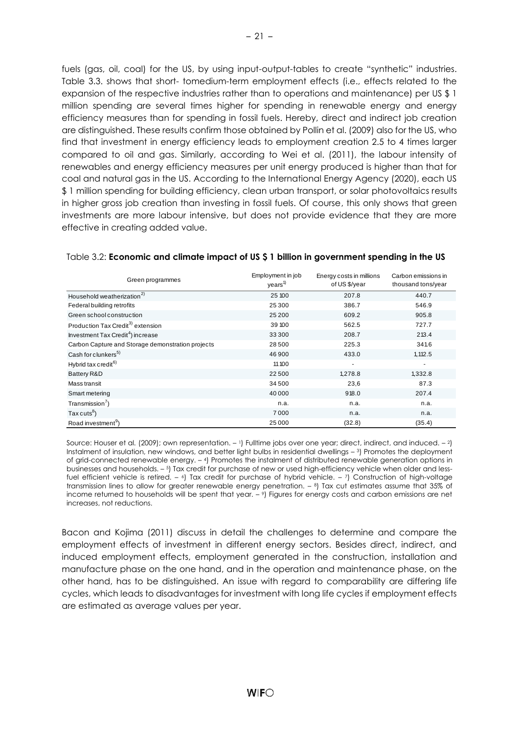fuels (gas, oil, coal) for the US, by using input-output-tables to create "synthetic" industries. Table 3.3. shows that short- tomedium-term employment effects (i.e., effects related to the expansion of the respective industries rather than to operations and maintenance) per US \$ 1 million spending are several times higher for spending in renewable energy and energy efficiency measures than for spending in fossil fuels. Hereby, direct and indirect job creation are distinguished. These results confirm those obtained by Pollin et al. (2009) also for the US, who find that investment in energy efficiency leads to employment creation 2.5 to 4 times larger compared to oil and gas. Similarly, according to Wei et al. (2011), the labour intensity of renewables and energy efficiency measures per unit energy produced is higher than that for coal and natural gas in the US. According to the International Energy Agency (2020), each US \$ 1 million spending for building efficiency, clean urban transport, or solar photovoltaics results in higher gross job creation than investing in fossil fuels. Of course, this only shows that green investments are more labour intensive, but does not provide evidence that they are more effective in creating added value.

| Green programmes                                  | Employment in job<br>years <sup>1</sup> | Energy costs in millions<br>of US \$/year | Carbon emissions in<br>thousand tons/year |
|---------------------------------------------------|-----------------------------------------|-------------------------------------------|-------------------------------------------|
| Household weatherization <sup>2)</sup>            | 25 100                                  | 207.8                                     | 440.7                                     |
| Federal building retrofits                        | 25 300                                  | 386.7                                     | 546.9                                     |
| Green school construction                         | 25 200                                  | 609.2                                     | 905.8                                     |
| Production Tax Credit <sup>3)</sup> extension     | 39 100                                  | 562.5                                     | 727.7                                     |
| Investment Tax Credit <sup>4</sup> ) increase     | 33 300                                  | 208.7                                     | 213.4                                     |
| Carbon Capture and Storage demonstration projects | 28 500                                  | 225.3                                     | 341.6                                     |
| Cash for clunkers <sup>5)</sup>                   | 46 900                                  | 433.0                                     | 1,112.5                                   |
| Hybrid tax credit <sup>6)</sup>                   | 11 10 0                                 | ٠                                         | $\overline{\phantom{a}}$                  |
| Battery R&D                                       | 22 500                                  | 1,278.8                                   | 1,332.8                                   |
| Mass transit                                      | 34 500                                  | 23,6                                      | 87.3                                      |
| Smart metering                                    | 40 000                                  | 918.0                                     | 207.4                                     |
| Transmission <sup>7</sup> )                       | n.a.                                    | n.a.                                      | n.a.                                      |
| Tax cuts <sup>8</sup> )                           | 7000                                    | n.a.                                      | n.a.                                      |
| Road investment <sup>9</sup> )                    | 25 000                                  | (32.8)                                    | (35.4)                                    |

#### <span id="page-24-0"></span>Table 3.2: **Economic and climate impact of US \$ 1 billion in government spending in the US**

Source: Houser et al*.* (2009); own representation. – <sup>1</sup>) Fulltime jobs over one year; direct, indirect, and induced. – 2) Instalment of insulation, new windows, and better light bulbs in residential dwellings – <sup>3</sup>) Promotes the deployment of grid-connected renewable energy. – <sup>4</sup>) Promotes the instalment of distributed renewable generation options in businesses and households. – 5) Tax credit for purchase of new or used high-efficiency vehicle when older and lessfuel efficient vehicle is retired. – <sup>6</sup>) Tax credit for purchase of hybrid vehicle. – <sup>7</sup>) Construction of high-voltage transmission lines to allow for greater renewable energy penetration. – <sup>8</sup>) Tax cut estimates assume that 35% of income returned to households will be spent that year. – <sup>9</sup>) Figures for energy costs and carbon emissions are net increases, not reductions.

Bacon and Kojima (2011) discuss in detail the challenges to determine and compare the employment effects of investment in different energy sectors. Besides direct, indirect, and induced employment effects, employment generated in the construction, installation and manufacture phase on the one hand, and in the operation and maintenance phase, on the other hand, has to be distinguished. An issue with regard to comparability are differing life cycles, which leads to disadvantages for investment with long life cycles if employment effects are estimated as average values per year.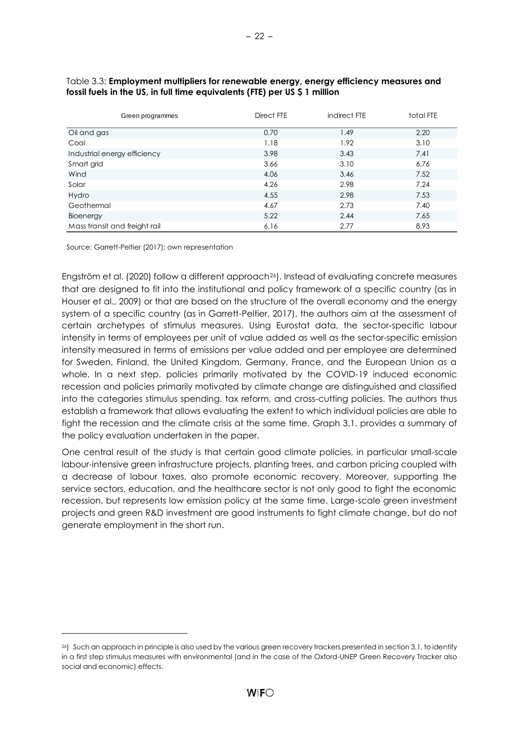| Green programmes              | Direct FTE | indirect FTE | total FTE |
|-------------------------------|------------|--------------|-----------|
| Oil and gas                   | 0.70       | 1.49         | 2.20      |
| Coal                          | 1.18       | 1.92         | 3.10      |
| Industrial energy efficiency  | 3.98       | 3.43         | 7.41      |
| Smart grid                    | 3.66       | 3.10         | 6.76      |
| Wind                          | 4.06       | 3.46         | 7.52      |
| Solar                         | 4.26       | 2.98         | 7.24      |
| Hydro                         | 4.55       | 2.98         | 7.53      |
| Geothermal                    | 4.67       | 2.73         | 7.40      |
| Bioenergy                     | 5.22       | 2.44         | 7.65      |
| Mass transit and freight rail | 6.16       | 2.77         | 8.93      |

#### <span id="page-25-0"></span>Table 3.3: **Employment multipliers for renewable energy, energy efficiency measures and fossil fuels in the US, in full time equivalents (FTE) per US \$ 1 million**

Source: Garrett-Peltier (2017); own representation

Engström et al. (2020) follow a different approach26). Instead of evaluating concrete measures that are designed to fit into the institutional and policy framework of a specific country (as in Houser et al., 2009) or that are based on the structure of the overall economy and the energy system of a specific country (as in Garrett-Peltier, 2017), the authors aim at the assessment of certain archetypes of stimulus measures. Using Eurostat data, the sector-specific labour intensity in terms of employees per unit of value added as well as the sector-specific emission intensity measured in terms of emissions per value added and per employee are determined for Sweden, Finland, the United Kingdom, Germany, France, and the European Union as a whole. In a next step, policies primarily motivated by the COVID-19 induced economic recession and policies primarily motivated by climate change are distinguished and classified into the categories stimulus spending, tax reform, and cross-cutting policies. The authors thus establish a framework that allows evaluating the extent to which individual policies are able to fight the recession and the climate crisis at the same time. Graph 3.1. provides a summary of the policy evaluation undertaken in the paper.

One central result of the study is that certain good climate policies, in particular small-scale labour-intensive green infrastructure projects, planting trees, and carbon pricing coupled with a decrease of labour taxes, also promote economic recovery. Moreover, supporting the service sectors, education, and the healthcare sector is not only good to fight the economic recession, but represents low emission policy at the same time. Large-scale green investment projects and green R&D investment are good instruments to fight climate change, but do not generate employment in the short run.

<sup>26</sup>) Such an approach in principle is also used by the various green recovery trackers presented in section 3.1, to identify in a first step stimulus measures with environmental (and in the case of the Oxford-UNEP Green Recovery Tracker also social and economic) effects.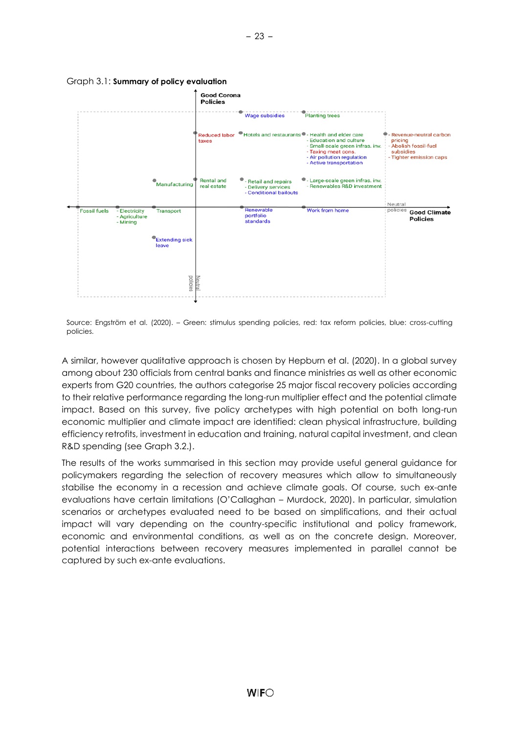

#### <span id="page-26-0"></span>Graph 3.1: **Summary of policy evaluation**

Source: Engström et al. (2020). – Green: stimulus spending policies, red: tax reform policies, blue: cross-cutting policies.

A similar, however qualitative approach is chosen by Hepburn et al. (2020). In a global survey among about 230 officials from central banks and finance ministries as well as other economic experts from G20 countries, the authors categorise 25 major fiscal recovery policies according to their relative performance regarding the long-run multiplier effect and the potential climate impact. Based on this survey, five policy archetypes with high potential on both long-run economic multiplier and climate impact are identified: clean physical infrastructure, building efficiency retrofits, investment in education and training, natural capital investment, and clean R&D spending (see Graph 3.2.).

The results of the works summarised in this section may provide useful general guidance for policymakers regarding the selection of recovery measures which allow to simultaneously stabilise the economy in a recession and achieve climate goals. Of course, such ex-ante evaluations have certain limitations (O'Callaghan – Murdock, 2020). In particular, simulation scenarios or archetypes evaluated need to be based on simplifications, and their actual impact will vary depending on the country-specific institutional and policy framework, economic and environmental conditions, as well as on the concrete design. Moreover, potential interactions between recovery measures implemented in parallel cannot be captured by such ex-ante evaluations.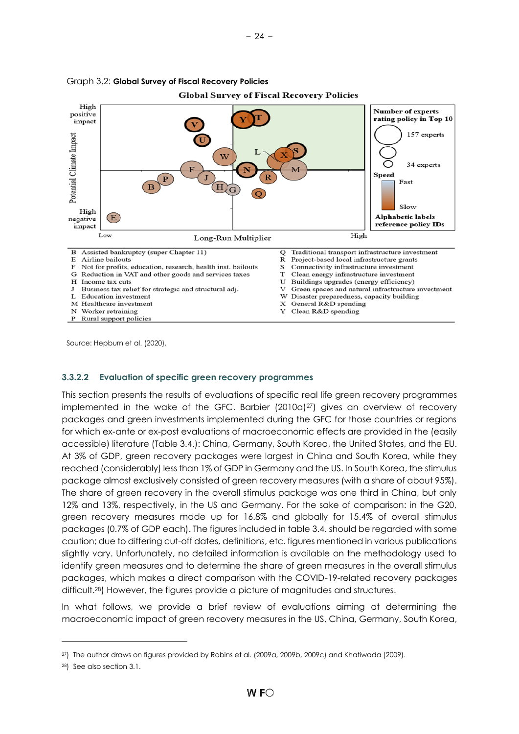

<span id="page-27-1"></span>

Source: Hepburn et al. (2020).

#### <span id="page-27-0"></span>**3.3.2.2 Evaluation of specific green recovery programmes**

This section presents the results of evaluations of specific real life green recovery programmes implemented in the wake of the GFC. Barbier  $(2010a)^{27}$  gives an overview of recovery packages and green investments implemented during the GFC for those countries or regions for which ex-ante or ex-post evaluations of macroeconomic effects are provided in the (easily accessible) literature (Table 3.4.): China, Germany, South Korea, the United States, and the EU. At 3% of GDP, green recovery packages were largest in China and South Korea, while they reached (considerably) less than 1% of GDP in Germany and the US. In South Korea, the stimulus package almost exclusively consisted of green recovery measures (with a share of about 95%). The share of green recovery in the overall stimulus package was one third in China, but only 12% and 13%, respectively, in the US and Germany. For the sake of comparison: in the G20, green recovery measures made up for 16.8% and globally for 15.4% of overall stimulus packages (0.7% of GDP each). The figures included in table 3.4. should be regarded with some caution; due to differing cut-off dates, definitions, etc. figures mentioned in various publications slightly vary. Unfortunately, no detailed information is available on the methodology used to identify green measures and to determine the share of green measures in the overall stimulus packages, which makes a direct comparison with the COVID-19-related recovery packages difficult.28) However, the figures provide a picture of magnitudes and structures.

In what follows, we provide a brief review of evaluations aiming at determining the macroeconomic impact of green recovery measures in the US, China, Germany, South Korea,

<sup>27</sup>) The author draws on figures provided by Robins et al. (2009a, 2009b, 2009c) and Khatiwada (2009).

<sup>28</sup>) See also section 3.1.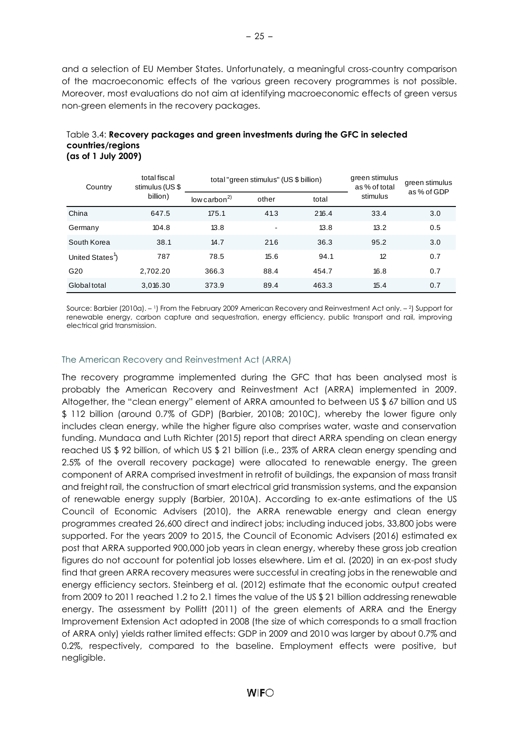and a selection of EU Member States. Unfortunately, a meaningful cross-country comparison of the macroeconomic effects of the various green recovery programmes is not possible. Moreover, most evaluations do not aim at identifying macroeconomic effects of green versus non-green elements in the recovery packages.

#### <span id="page-28-0"></span>Table 3.4: **Recovery packages and green investments during the GFC in selected countries/regions (as of 1 July 2009)**

| Country                      | total fiscal<br>stimulus (US \$ |                          | total "green stimulus" (US \$ billion) | green stimulus<br>as % of total | green stimulus<br>as % of GDP |     |
|------------------------------|---------------------------------|--------------------------|----------------------------------------|---------------------------------|-------------------------------|-----|
|                              | billion)                        | low carbon <sup>2)</sup> | other                                  | total                           | stimulus                      |     |
| China                        | 647.5                           | 175.1                    | 41.3                                   | 216.4                           | 33.4                          | 3.0 |
| Germany                      | 104.8                           | 13.8                     |                                        | 13.8                            | 13.2                          | 0.5 |
| South Korea                  | 38.1                            | 14.7                     | 21.6                                   | 36.3                            | 95.2                          | 3.0 |
| United States <sup>1</sup> ) | 787                             | 78.5                     | 15.6                                   | 94.1                            | 12                            | 0.7 |
| G20                          | 2.702.20                        | 366.3                    | 88.4                                   | 454.7                           | 16.8                          | 0.7 |
| Global total                 | 3.016.30                        | 373.9                    | 89.4                                   | 463.3                           | 15.4                          | 0.7 |

Source: Barbier (2010a). – <sup>1</sup>) From the February 2009 American Recovery and Reinvestment Act only. – <sup>2</sup>) Support for renewable energy, carbon capture and sequestration, energy efficiency, public transport and rail, improving electrical grid transmission.

### The American Recovery and Reinvestment Act (ARRA)

The recovery programme implemented during the GFC that has been analysed most is probably the American Recovery and Reinvestment Act (ARRA) implemented in 2009. Altogether, the "clean energy" element of ARRA amounted to between US \$ 67 billion and US \$ 112 billion (around 0.7% of GDP) (Barbier, 2010B; 2010C), whereby the lower figure only includes clean energy, while the higher figure also comprises water, waste and conservation funding. Mundaca and Luth Richter (2015) report that direct ARRA spending on clean energy reached US \$ 92 billion, of which US \$ 21 billion (i.e., 23% of ARRA clean energy spending and 2.5% of the overall recovery package) were allocated to renewable energy. The green component of ARRA comprised investment in retrofit of buildings, the expansion of mass transit and freight rail, the construction of smart electrical grid transmission systems, and the expansion of renewable energy supply (Barbier, 2010A). According to ex-ante estimations of the US Council of Economic Advisers (2010), the ARRA renewable energy and clean energy programmes created 26,600 direct and indirect jobs; including induced jobs, 33,800 jobs were supported. For the years 2009 to 2015, the Council of Economic Advisers (2016) estimated ex post that ARRA supported 900,000 job years in clean energy, whereby these gross job creation figures do not account for potential job losses elsewhere. Lim et al. (2020) in an ex-post study find that green ARRA recovery measures were successful in creating jobs in the renewable and energy efficiency sectors. Steinberg et al. (2012) estimate that the economic output created from 2009 to 2011 reached 1.2 to 2.1 times the value of the US \$ 21 billion addressing renewable energy. The assessment by Pollitt (2011) of the green elements of ARRA and the Energy Improvement Extension Act adopted in 2008 (the size of which corresponds to a small fraction of ARRA only) yields rather limited effects: GDP in 2009 and 2010 was larger by about 0.7% and 0.2%, respectively, compared to the baseline. Employment effects were positive, but negligible.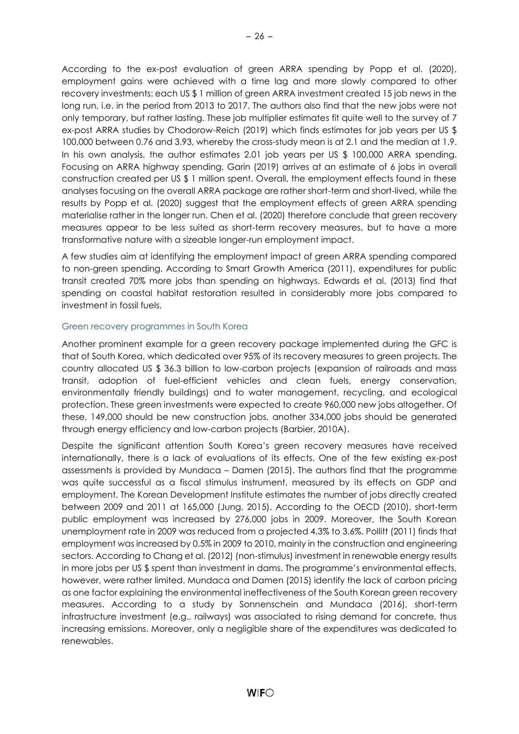According to the ex-post evaluation of green ARRA spending by Popp et al. (2020), employment gains were achieved with a time lag and more slowly compared to other recovery investments: each US \$ 1 million of green ARRA investment created 15 job news in the long run, i.e. in the period from 2013 to 2017. The authors also find that the new jobs were not only temporary, but rather lasting. These job multiplier estimates fit quite well to the survey of 7 ex-post ARRA studies by Chodorow-Reich (2019) which finds estimates for job years per US \$ 100,000 between 0.76 and 3.93, whereby the cross-study mean is at 2.1 and the median at 1.9. In his own analysis, the author estimates 2.01 job years per US \$ 100,000 ARRA spending. Focusing on ARRA highway spending, Garin (2019) arrives at an estimate of 6 jobs in overall construction created per US \$ 1 million spent. Overall, the employment effects found in these analyses focusing on the overall ARRA package are rather short-term and short-lived, while the results by Popp et al. (2020) suggest that the employment effects of green ARRA spending materialise rather in the longer run. Chen et al. (2020) therefore conclude that green recovery measures appear to be less suited as short-term recovery measures, but to have a more transformative nature with a sizeable longer-run employment impact.

A few studies aim at identifying the employment impact of green ARRA spending compared to non-green spending. According to Smart Growth America (2011), expenditures for public transit created 70% more jobs than spending on highways. Edwards et al. (2013) find that spending on coastal habitat restoration resulted in considerably more jobs compared to investment in fossil fuels.

### Green recovery programmes in South Korea

Another prominent example for a green recovery package implemented during the GFC is that of South Korea, which dedicated over 95% of its recovery measures to green projects. The country allocated US \$ 36.3 billion to low-carbon projects (expansion of railroads and mass transit, adoption of fuel-efficient vehicles and clean fuels, energy conservation, environmentally friendly buildings) and to water management, recycling, and ecological protection. These green investments were expected to create 960,000 new jobs altogether. Of these, 149,000 should be new construction jobs, another 334,000 jobs should be generated through energy efficiency and low-carbon projects (Barbier, 2010A).

Despite the significant attention South Korea's green recovery measures have received internationally, there is a lack of evaluations of its effects. One of the few existing ex-post assessments is provided by Mundaca – Damen (2015). The authors find that the programme was quite successful as a fiscal stimulus instrument, measured by its effects on GDP and employment. The Korean Development Institute estimates the number of jobs directly created between 2009 and 2011 at 165,000 (Jung, 2015). According to the OECD (2010), short-term public employment was increased by 276,000 jobs in 2009. Moreover, the South Korean unemployment rate in 2009 was reduced from a projected 4.3% to 3.6%. Pollitt (2011) finds that employment was increased by 0.5% in 2009 to 2010, mainly in the construction and engineering sectors. According to Chang et al. (2012) (non-stimulus) investment in renewable energy results in more jobs per US \$ spent than investment in dams. The programme's environmental effects, however, were rather limited. Mundaca and Damen (2015) identify the lack of carbon pricing as one factor explaining the environmental ineffectiveness of the South Korean green recovery measures. According to a study by Sonnenschein and Mundaca (2016), short-term infrastructure investment (e.g., railways) was associated to rising demand for concrete, thus increasing emissions. Moreover, only a negligible share of the expenditures was dedicated to renewables.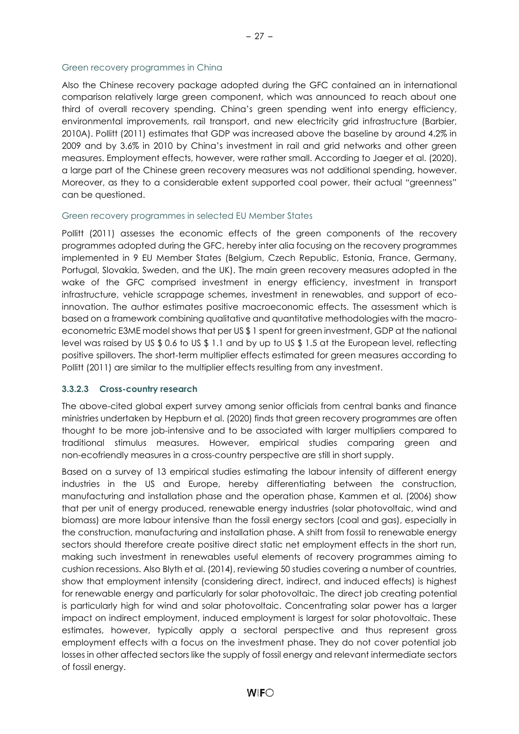#### Green recovery programmes in China

Also the Chinese recovery package adopted during the GFC contained an in international comparison relatively large green component, which was announced to reach about one third of overall recovery spending. China's green spending went into energy efficiency, environmental improvements, rail transport, and new electricity grid infrastructure (Barbier, 2010A). Pollitt (2011) estimates that GDP was increased above the baseline by around 4.2% in 2009 and by 3.6% in 2010 by China's investment in rail and grid networks and other green measures. Employment effects, however, were rather small. According to Jaeger et al. (2020), a large part of the Chinese green recovery measures was not additional spending, however. Moreover, as they to a considerable extent supported coal power, their actual "greenness" can be questioned.

#### Green recovery programmes in selected EU Member States

Pollitt (2011) assesses the economic effects of the green components of the recovery programmes adopted during the GFC, hereby inter alia focusing on the recovery programmes implemented in 9 EU Member States (Belgium, Czech Republic, Estonia, France, Germany, Portugal, Slovakia, Sweden, and the UK). The main green recovery measures adopted in the wake of the GFC comprised investment in energy efficiency, investment in transport infrastructure, vehicle scrappage schemes, investment in renewables, and support of ecoinnovation. The author estimates positive macroeconomic effects. The assessment which is based on a framework combining qualitative and quantitative methodologies with the macroeconometric E3ME model shows that per US \$ 1 spent for green investment, GDP at the national level was raised by US \$ 0.6 to US \$ 1.1 and by up to US \$ 1.5 at the European level, reflecting positive spillovers. The short-term multiplier effects estimated for green measures according to Pollitt (2011) are similar to the multiplier effects resulting from any investment.

#### <span id="page-30-0"></span>**3.3.2.3 Cross-country research**

The above-cited global expert survey among senior officials from central banks and finance ministries undertaken by Hepburn et al. (2020) finds that green recovery programmes are often thought to be more job-intensive and to be associated with larger multipliers compared to traditional stimulus measures. However, empirical studies comparing green and non-ecofriendly measures in a cross-country perspective are still in short supply.

Based on a survey of 13 empirical studies estimating the labour intensity of different energy industries in the US and Europe, hereby differentiating between the construction, manufacturing and installation phase and the operation phase, Kammen et al. (2006) show that per unit of energy produced, renewable energy industries (solar photovoltaic, wind and biomass) are more labour intensive than the fossil energy sectors (coal and gas), especially in the construction, manufacturing and installation phase. A shift from fossil to renewable energy sectors should therefore create positive direct static net employment effects in the short run, making such investment in renewables useful elements of recovery programmes aiming to cushion recessions. Also Blyth et al. (2014), reviewing 50 studies covering a number of countries, show that employment intensity (considering direct, indirect, and induced effects) is highest for renewable energy and particularly for solar photovoltaic. The direct job creating potential is particularly high for wind and solar photovoltaic. Concentrating solar power has a larger impact on indirect employment, induced employment is largest for solar photovoltaic. These estimates, however, typically apply a sectoral perspective and thus represent gross employment effects with a focus on the investment phase. They do not cover potential job losses in other affected sectors like the supply of fossil energy and relevant intermediate sectors of fossil energy.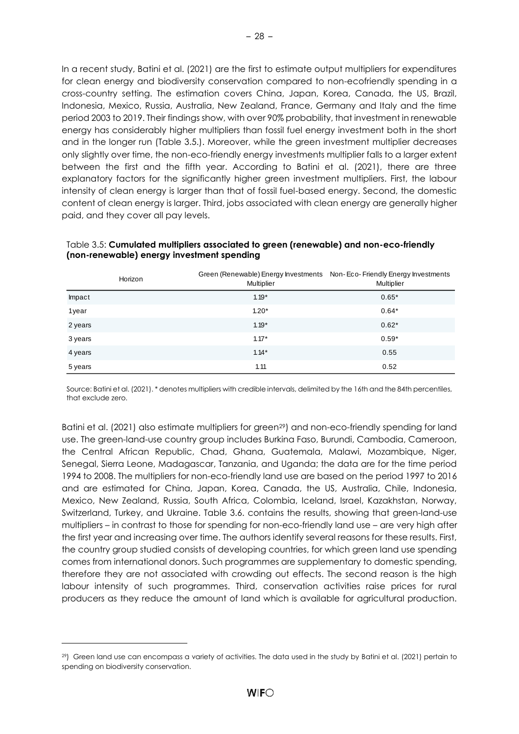In a recent study, Batini et al. (2021) are the first to estimate output multipliers for expenditures for clean energy and biodiversity conservation compared to non-ecofriendly spending in a cross-country setting. The estimation covers China, Japan, Korea, Canada, the US, Brazil, Indonesia, Mexico, Russia, Australia, New Zealand, France, Germany and Italy and the time period 2003 to 2019. Their findings show, with over 90% probability, that investment in renewable energy has considerably higher multipliers than fossil fuel energy investment both in the short and in the longer run (Table 3.5.). Moreover, while the green investment multiplier decreases only slightly over time, the non-eco-friendly energy investments multiplier falls to a larger extent between the first and the fifth year. According to Batini et al. (2021), there are three explanatory factors for the significantly higher green investment multipliers. First, the labour intensity of clean energy is larger than that of fossil fuel-based energy. Second, the domestic content of clean energy is larger. Third, jobs associated with clean energy are generally higher paid, and they cover all pay levels.

|         | Horizon | Green (Renewable) Energy Investments Non-Eco-Friendly Energy Investments<br>Multiplier | Multiplier |
|---------|---------|----------------------------------------------------------------------------------------|------------|
| Impact  |         | $1.19*$                                                                                | $0.65*$    |
| 1year   |         | $1.20*$                                                                                | $0.64*$    |
| 2 years |         | $1.19*$                                                                                | $0.62*$    |
| 3 years |         | $1.17*$                                                                                | $0.59*$    |
| 4 years |         | $1.14*$                                                                                | 0.55       |
| 5 years |         | 1.11                                                                                   | 0.52       |

#### <span id="page-31-0"></span>Table 3.5: **Cumulated multipliers associated to green (renewable) and non-eco-friendly (non-renewable) energy investment spending**

Source: Batini et al. (2021). \* denotes multipliers with credible intervals, delimited by the 16th and the 84th percentiles, that exclude zero.

Batini et al. (2021) also estimate multipliers for green<sup>29</sup>) and non-eco-friendly spending for land use. The green-land-use country group includes Burkina Faso, Burundi, Cambodia, Cameroon, the Central African Republic, Chad, Ghana, Guatemala, Malawi, Mozambique, Niger, Senegal, Sierra Leone, Madagascar, Tanzania, and Uganda; the data are for the time period 1994 to 2008. The multipliers for non-eco-friendly land use are based on the period 1997 to 2016 and are estimated for China, Japan, Korea, Canada, the US, Australia, Chile, Indonesia, Mexico, New Zealand, Russia, South Africa, Colombia, Iceland, Israel, Kazakhstan, Norway, Switzerland, Turkey, and Ukraine. Table 3.6. contains the results, showing that green-land-use multipliers – in contrast to those for spending for non-eco-friendly land use – are very high after the first year and increasing over time. The authors identify several reasons for these results. First, the country group studied consists of developing countries, for which green land use spending comes from international donors. Such programmes are supplementary to domestic spending, therefore they are not associated with crowding out effects. The second reason is the high labour intensity of such programmes. Third, conservation activities raise prices for rural producers as they reduce the amount of land which is available for agricultural production.

<sup>29</sup>) Green land use can encompass a variety of activities. The data used in the study by Batini et al. (2021) pertain to spending on biodiversity conservation.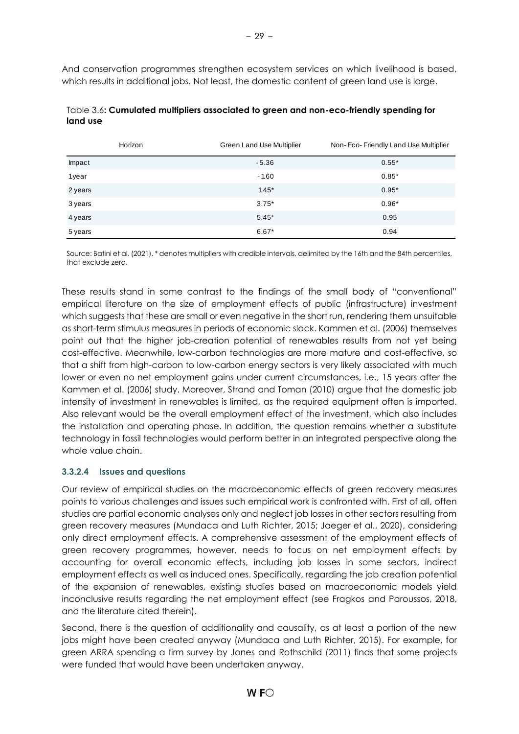And conservation programmes strengthen ecosystem services on which livelihood is based, which results in additional jobs. Not least, the domestic content of green land use is large.

|         | Horizon | Green Land Use Multiplier | Non-Eco-Friendly Land Use Multiplier |
|---------|---------|---------------------------|--------------------------------------|
| Impact  |         | $-5.36$                   | $0.55*$                              |
| 1year   |         | $-1.60$                   | $0.85*$                              |
| 2 years |         | $1.45*$                   | $0.95*$                              |
| 3 years |         | $3.75*$                   | $0.96*$                              |
| 4 years |         | $5.45*$                   | 0.95                                 |
| 5 years |         | $6.67*$                   | 0.94                                 |

### <span id="page-32-1"></span>Table 3.6**: Cumulated multipliers associated to green and non-eco-friendly spending for land use**

Source: Batini et al. (2021). \* denotes multipliers with credible intervals, delimited by the 16th and the 84th percentiles, that exclude zero.

These results stand in some contrast to the findings of the small body of "conventional" empirical literature on the size of employment effects of public (infrastructure) investment which suggests that these are small or even negative in the short run, rendering them unsuitable as short-term stimulus measures in periods of economic slack. Kammen et al. (2006) themselves point out that the higher job-creation potential of renewables results from not yet being cost-effective. Meanwhile, low-carbon technologies are more mature and cost-effective, so that a shift from high-carbon to low-carbon energy sectors is very likely associated with much lower or even no net employment gains under current circumstances, i.e., 15 years after the Kammen et al. (2006) study. Moreover, Strand and Toman (2010) argue that the domestic job intensity of investment in renewables is limited, as the required equipment often is imported. Also relevant would be the overall employment effect of the investment, which also includes the installation and operating phase. In addition, the question remains whether a substitute technology in fossil technologies would perform better in an integrated perspective along the whole value chain.

# <span id="page-32-0"></span>**3.3.2.4 Issues and questions**

Our review of empirical studies on the macroeconomic effects of green recovery measures points to various challenges and issues such empirical work is confronted with. First of all, often studies are partial economic analyses only and neglect job losses in other sectors resulting from green recovery measures (Mundaca and Luth Richter, 2015; Jaeger et al., 2020), considering only direct employment effects. A comprehensive assessment of the employment effects of green recovery programmes, however, needs to focus on net employment effects by accounting for overall economic effects, including job losses in some sectors, indirect employment effects as well as induced ones. Specifically, regarding the job creation potential of the expansion of renewables, existing studies based on macroeconomic models yield inconclusive results regarding the net employment effect (see Fragkos and Paroussos, 2018, and the literature cited therein).

Second, there is the question of additionality and causality, as at least a portion of the new jobs might have been created anyway (Mundaca and Luth Richter, 2015). For example, for green ARRA spending a firm survey by Jones and Rothschild (2011) finds that some projects were funded that would have been undertaken anyway.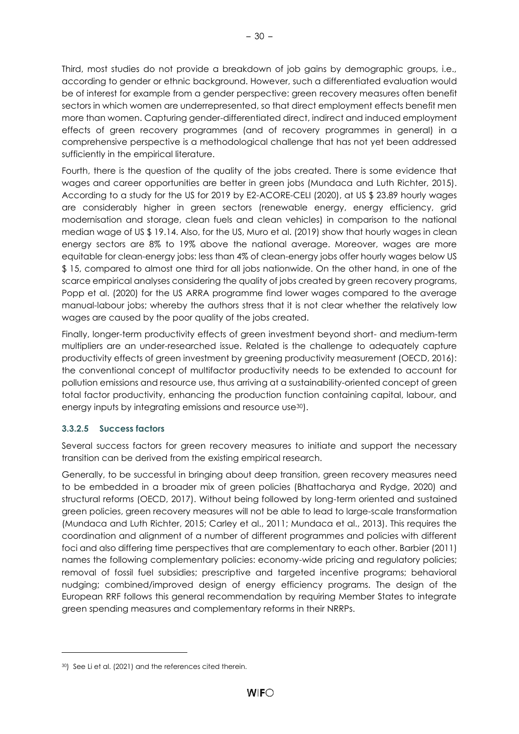Third, most studies do not provide a breakdown of job gains by demographic groups, i.e., according to gender or ethnic background. However, such a differentiated evaluation would be of interest for example from a gender perspective: green recovery measures often benefit sectors in which women are underrepresented, so that direct employment effects benefit men more than women. Capturing gender-differentiated direct, indirect and induced employment effects of green recovery programmes (and of recovery programmes in general) in a comprehensive perspective is a methodological challenge that has not yet been addressed sufficiently in the empirical literature.

Fourth, there is the question of the quality of the jobs created. There is some evidence that wages and career opportunities are better in green jobs (Mundaca and Luth Richter, 2015). According to a study for the US for 2019 by E2-ACORE-CELI (2020), at US \$ 23.89 hourly wages are considerably higher in green sectors (renewable energy, energy efficiency, grid modernisation and storage, clean fuels and clean vehicles) in comparison to the national median wage of US \$ 19.14. Also, for the US, Muro et al. (2019) show that hourly wages in clean energy sectors are 8% to 19% above the national average. Moreover, wages are more equitable for clean-energy jobs: less than 4% of clean-energy jobs offer hourly wages below US \$ 15, compared to almost one third for all jobs nationwide. On the other hand, in one of the scarce empirical analyses considering the quality of jobs created by green recovery programs, Popp et al. (2020) for the US ARRA programme find lower wages compared to the average manual-labour jobs; whereby the authors stress that it is not clear whether the relatively low wages are caused by the poor quality of the jobs created.

Finally, longer-term productivity effects of green investment beyond short- and medium-term multipliers are an under-researched issue. Related is the challenge to adequately capture productivity effects of green investment by greening productivity measurement (OECD, 2016): the conventional concept of multifactor productivity needs to be extended to account for pollution emissions and resource use, thus arriving at a sustainability-oriented concept of green total factor productivity, enhancing the production function containing capital, labour, and energy inputs by integrating emissions and resource use<sup>30</sup>).

# <span id="page-33-0"></span>**3.3.2.5 Success factors**

Several success factors for green recovery measures to initiate and support the necessary transition can be derived from the existing empirical research.

Generally, to be successful in bringing about deep transition, green recovery measures need to be embedded in a broader mix of green policies (Bhattacharya and Rydge, 2020) and structural reforms (OECD, 2017). Without being followed by long-term oriented and sustained green policies, green recovery measures will not be able to lead to large-scale transformation (Mundaca and Luth Richter, 2015; Carley et al., 2011; Mundaca et al., 2013). This requires the coordination and alignment of a number of different programmes and policies with different foci and also differing time perspectives that are complementary to each other. Barbier (2011) names the following complementary policies: economy-wide pricing and regulatory policies; removal of fossil fuel subsidies; prescriptive and targeted incentive programs; behavioral nudging; combined/improved design of energy efficiency programs. The design of the European RRF follows this general recommendation by requiring Member States to integrate green spending measures and complementary reforms in their NRRPs.

<sup>30</sup>) See Li et al. (2021) and the references cited therein.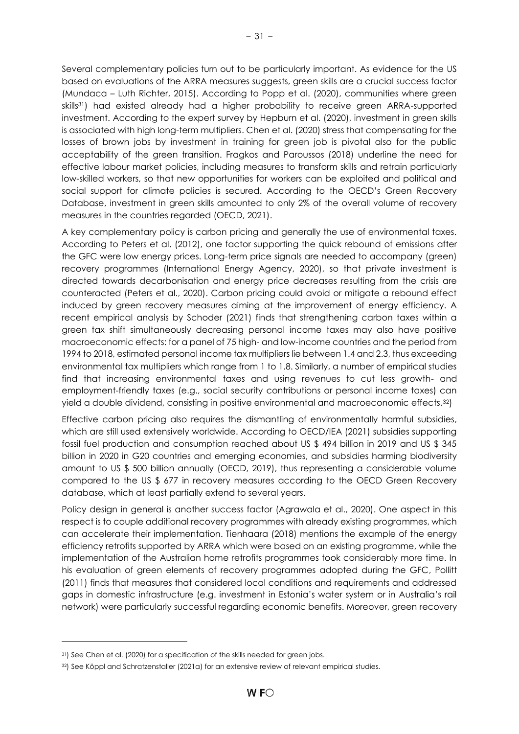Several complementary policies turn out to be particularly important. As evidence for the US based on evaluations of the ARRA measures suggests, green skills are a crucial success factor (Mundaca – Luth Richter, 2015). According to Popp et al. (2020), communities where green skills<sup>31</sup>) had existed already had a higher probability to receive green ARRA-supported investment. According to the expert survey by Hepburn et al. (2020), investment in green skills is associated with high long-term multipliers. Chen et al. (2020) stress that compensating for the losses of brown jobs by investment in training for green job is pivotal also for the public acceptability of the green transition. Fragkos and Paroussos (2018) underline the need for effective labour market policies, including measures to transform skills and retrain particularly low-skilled workers, so that new opportunities for workers can be exploited and political and social support for climate policies is secured. According to the OECD's Green Recovery Database, investment in green skills amounted to only 2% of the overall volume of recovery measures in the countries regarded (OECD, 2021).

A key complementary policy is carbon pricing and generally the use of environmental taxes. According to Peters et al. (2012), one factor supporting the quick rebound of emissions after the GFC were low energy prices. Long-term price signals are needed to accompany (green) recovery programmes (International Energy Agency, 2020), so that private investment is directed towards decarbonisation and energy price decreases resulting from the crisis are counteracted (Peters et al., 2020). Carbon pricing could avoid or mitigate a rebound effect induced by green recovery measures aiming at the improvement of energy efficiency. A recent empirical analysis by Schoder (2021) finds that strengthening carbon taxes within a green tax shift simultaneously decreasing personal income taxes may also have positive macroeconomic effects: for a panel of 75 high- and low-income countries and the period from 1994 to 2018, estimated personal income tax multipliers lie between 1.4 and 2.3, thus exceeding environmental tax multipliers which range from 1 to 1.8. Similarly, a number of empirical studies find that increasing environmental taxes and using revenues to cut less growth- and employment-friendly taxes (e.g., social security contributions or personal income taxes) can yield a double dividend, consisting in positive environmental and macroeconomic effects.32)

Effective carbon pricing also requires the dismantling of environmentally harmful subsidies, which are still used extensively worldwide. According to OECD/IEA (2021) subsidies supporting fossil fuel production and consumption reached about US \$ 494 billion in 2019 and US \$ 345 billion in 2020 in G20 countries and emerging economies, and subsidies harming biodiversity amount to US \$ 500 billion annually (OECD, 2019), thus representing a considerable volume compared to the US \$ 677 in recovery measures according to the OECD Green Recovery database, which at least partially extend to several years.

Policy design in general is another success factor (Agrawala et al., 2020). One aspect in this respect is to couple additional recovery programmes with already existing programmes, which can accelerate their implementation. Tienhaara (2018) mentions the example of the energy efficiency retrofits supported by ARRA which were based on an existing programme, while the implementation of the Australian home retrofits programmes took considerably more time. In his evaluation of green elements of recovery programmes adopted during the GFC, Pollitt (2011) finds that measures that considered local conditions and requirements and addressed gaps in domestic infrastructure (e.g. investment in Estonia's water system or in Australia's rail network) were particularly successful regarding economic benefits. Moreover, green recovery

<sup>31</sup>) See Chen et al. (2020) for a specification of the skills needed for green jobs.

<sup>32</sup>) See Köppl and Schratzenstaller (2021a) for an extensive review of relevant empirical studies.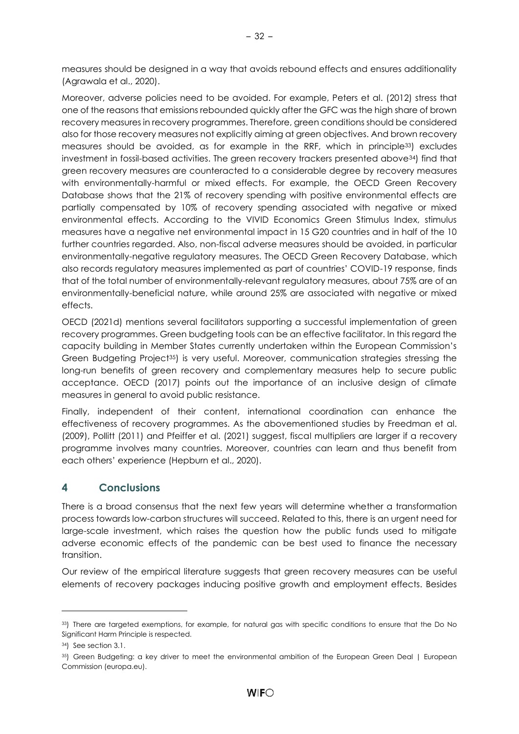measures should be designed in a way that avoids rebound effects and ensures additionality (Agrawala et al., 2020).

Moreover, adverse policies need to be avoided. For example, Peters et al. (2012) stress that one of the reasons that emissions rebounded quickly after the GFC was the high share of brown recovery measures in recovery programmes. Therefore, green conditions should be considered also for those recovery measures not explicitly aiming at green objectives. And brown recovery measures should be avoided, as for example in the RRF, which in principle33) excludes investment in fossil-based activities. The green recovery trackers presented above34) find that green recovery measures are counteracted to a considerable degree by recovery measures with environmentally-harmful or mixed effects. For example, the OECD Green Recovery Database shows that the 21% of recovery spending with positive environmental effects are partially compensated by 10% of recovery spending associated with negative or mixed environmental effects. According to the VIVID Economics Green Stimulus Index, stimulus measures have a negative net environmental impact in 15 G20 countries and in half of the 10 further countries regarded. Also, non-fiscal adverse measures should be avoided, in particular environmentally-negative regulatory measures. The OECD Green Recovery Database, which also records regulatory measures implemented as part of countries' COVID-19 response, finds that of the total number of environmentally-relevant regulatory measures, about 75% are of an environmentally-beneficial nature, while around 25% are associated with negative or mixed effects.

OECD (2021d) mentions several facilitators supporting a successful implementation of green recovery programmes. Green budgeting tools can be an effective facilitator. In this regard the capacity building in Member States currently undertaken within the European Commission's Green Budgeting Project35) is very useful. Moreover, communication strategies stressing the long-run benefits of green recovery and complementary measures help to secure public acceptance. OECD (2017) points out the importance of an inclusive design of climate measures in general to avoid public resistance.

Finally, independent of their content, international coordination can enhance the effectiveness of recovery programmes. As the abovementioned studies by Freedman et al. (2009), Pollitt (2011) and Pfeiffer et al. (2021) suggest, fiscal multipliers are larger if a recovery programme involves many countries. Moreover, countries can learn and thus benefit from each others' experience (Hepburn et al., 2020).

# <span id="page-35-0"></span>**4 Conclusions**

There is a broad consensus that the next few years will determine whether a transformation process towards low-carbon structures will succeed. Related to this, there is an urgent need for large-scale investment, which raises the question how the public funds used to mitigate adverse economic effects of the pandemic can be best used to finance the necessary transition.

Our review of the empirical literature suggests that green recovery measures can be useful elements of recovery packages inducing positive growth and employment effects. Besides

<sup>33</sup>) There are targeted exemptions, for example, for natural gas with specific conditions to ensure that the Do No Significant Harm Principle is respected.

<sup>34</sup>) See section 3.1.

<sup>35</sup>) [Green Budgeting: a key driver to meet the environmental ambition of the European Green Deal | European](https://ec.europa.eu/info/news/green-budgeting-key-driver-meet-environmental-ambition-european-green-deal-2021-may-20_en)  [Commission \(europa.eu\).](https://ec.europa.eu/info/news/green-budgeting-key-driver-meet-environmental-ambition-european-green-deal-2021-may-20_en)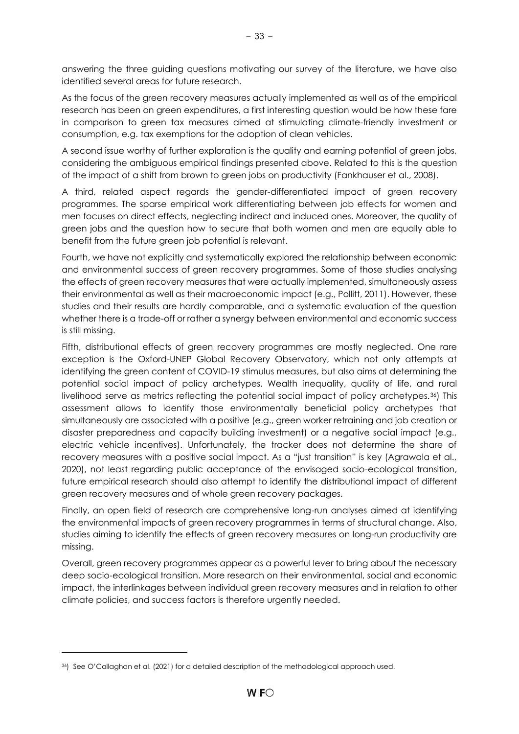answering the three guiding questions motivating our survey of the literature, we have also identified several areas for future research.

As the focus of the green recovery measures actually implemented as well as of the empirical research has been on green expenditures, a first interesting question would be how these fare in comparison to green tax measures aimed at stimulating climate-friendly investment or consumption, e.g. tax exemptions for the adoption of clean vehicles.

A second issue worthy of further exploration is the quality and earning potential of green jobs, considering the ambiguous empirical findings presented above. Related to this is the question of the impact of a shift from brown to green jobs on productivity (Fankhauser et al., 2008).

A third, related aspect regards the gender-differentiated impact of green recovery programmes. The sparse empirical work differentiating between job effects for women and men focuses on direct effects, neglecting indirect and induced ones. Moreover, the quality of green jobs and the question how to secure that both women and men are equally able to benefit from the future green job potential is relevant.

Fourth, we have not explicitly and systematically explored the relationship between economic and environmental success of green recovery programmes. Some of those studies analysing the effects of green recovery measures that were actually implemented, simultaneously assess their environmental as well as their macroeconomic impact (e.g., Pollitt, 2011). However, these studies and their results are hardly comparable, and a systematic evaluation of the question whether there is a trade-off or rather a synergy between environmental and economic success is still missing.

Fifth, distributional effects of green recovery programmes are mostly neglected. One rare exception is the Oxford-UNEP Global Recovery Observatory, which not only attempts at identifying the green content of COVID-19 stimulus measures, but also aims at determining the potential social impact of policy archetypes. Wealth inequality, quality of life, and rural livelihood serve as metrics reflecting the potential social impact of policy archetypes.36) This assessment allows to identify those environmentally beneficial policy archetypes that simultaneously are associated with a positive (e.g., green worker retraining and job creation or disaster preparedness and capacity building investment) or a negative social impact (e.g., electric vehicle incentives). Unfortunately, the tracker does not determine the share of recovery measures with a positive social impact. As a "just transition" is key (Agrawala et al., 2020), not least regarding public acceptance of the envisaged socio-ecological transition, future empirical research should also attempt to identify the distributional impact of different green recovery measures and of whole green recovery packages.

Finally, an open field of research are comprehensive long-run analyses aimed at identifying the environmental impacts of green recovery programmes in terms of structural change. Also, studies aiming to identify the effects of green recovery measures on long-run productivity are missing.

Overall, green recovery programmes appear as a powerful lever to bring about the necessary deep socio-ecological transition. More research on their environmental, social and economic impact, the interlinkages between individual green recovery measures and in relation to other climate policies, and success factors is therefore urgently needed.

<sup>36</sup>) See O'Callaghan et al. (2021) for a detailed description of the methodological approach used.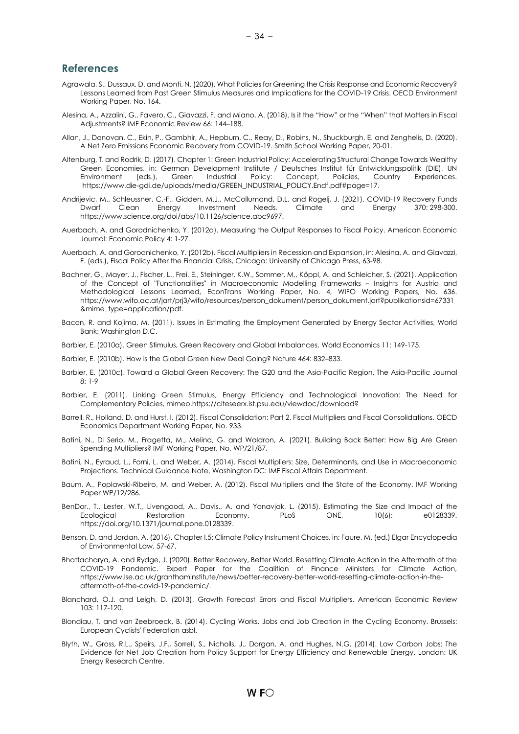#### <span id="page-37-0"></span>**References**

- Agrawala, S., Dussaux, D. and Monti, N. (2020). What Policies for Greening the Crisis Response and Economic Recovery? Lessons Learned from Past Green Stimulus Measures and Implications for the COVID-19 Crisis. OECD Environment Working Paper, No. 164.
- Alesina, A., Azzalini, G., Favero, C., Giavazzi, F. and Miano, A. (2018). Is it the "How" or the "When" that Matters in Fiscal Adjustments? IMF Economic Review 66: 144–188.
- Allan, J., Donovan, C., Ekin, P., Gambhir, A., Hepburn, C., Reay, D., Robins, N., Shuckburgh, E. and Zenghelis, D. (2020). A Net Zero Emissions Economic Recovery from COVID-19. Smith School Working Paper, 20-01.
- Altenburg, T. and Rodrik, D. (2017). Chapter 1: Green Industrial Policy: Accelerating Structural Change Towards Wealthy Green Economies, in: German Development Institute / Deutsches Institut für Entwicklungspolitik (DIE), UN<br>Environment (eds.), Green Industrial Policy: Concept, Policies, Country Experiences. Environment (eds.), Green Industrial Policy: Concept, Policies, Country Experiences. [https://www.die-gdi.de/uploads/media/GREEN\\_INDUSTRIAL\\_POLICY.Endf.pdf#page=17.](https://www.die-gdi.de/uploads/media/GREEN_INDUSTRIAL_POLICY.Endf.pdf#page=17)
- Andrijevic, M., Schleussner, C.-F., Gidden, M.J., McCollumand, D.L. and Rogelj, J. (2021). COVID-19 Recovery Funds Dwarf Clean Energy Investment Needs. Climate and Energy 370: 298-300. [https://www.science.org/doi/abs/10.1126/science.abc9697.](https://www.science.org/doi/abs/10.1126/science.abc9697)
- Auerbach, A. and Gorodnichenko, Y. (2012a). Measuring the Output Responses to Fiscal Policy. American Economic Journal: Economic Policy 4: 1-27.
- Auerbach, A. and Gorodnichenko, Y. (2012b). Fiscal Multipliers in Recession and Expansion, in: Alesina, A. and Giavazzi, F. (eds.), Fiscal Policy After the Financial Crisis, Chicago: University of Chicago Press, 63-98.
- Bachner, G., Mayer, J., Fischer, L., Frei, E., Steininger, K.W., Sommer, M., Köppl, A. and Schleicher, S. (2021). Application of the Concept of "Functionalities" in Macroeconomic Modelling Frameworks – Insights for Austria and Methodological Lessons Learned, EconTrans Working Paper, No. 4, WIFO Working Papers, No. 636. [https://www.wifo.ac.at/jart/prj3/wifo/resources/person\\_dokument/person\\_dokument.jart?publikationsid=67331](https://www.wifo.ac.at/jart/prj3/wifo/resources/person_dokument/person_dokument.jart?publikationsid=67331&mime_type=application/pdf) [&mime\\_type=application/pdf.](https://www.wifo.ac.at/jart/prj3/wifo/resources/person_dokument/person_dokument.jart?publikationsid=67331&mime_type=application/pdf)
- Bacon, R. and Kojima, M. (2011). Issues in Estimating the Employment Generated by Energy Sector Activities, World Bank: Washington D.C.
- Barbier, E. (2010a). Green Stimulus, Green Recovery and Global Imbalances. World Economics 11: 149-175.
- Barbier, E. (2010b). How is the Global Green New Deal Going? Nature 464: 832–833.
- Barbier, E. (2010c). Toward a Global Green Recovery: The G20 and the Asia-Pacific Region. The Asia-Pacific Journal 8: 1-9
- Barbier, E. (2011). Linking Green Stimulus, Energy Efficiency and Technological Innovation: The Need for Complementary Policies, mime[o.https://citeseerx.ist.psu.edu/viewdoc/download?](https://citeseerx.ist.psu.edu/viewdoc/download)
- Barrell, R., Holland, D. and Hurst, I. (2012). Fiscal Consolidation: Part 2. Fiscal Multipliers and Fiscal Consolidations. OECD Economics Department Working Paper, No. 933.
- Batini, N., Di Serio, M., Fragetta, M., Melina, G. and Waldron, A. (2021). Building Back Better: How Big Are Green Spending Multipliers? IMF Working Paper, No. WP/21/87.
- Batini, N., Eyraud, L., Forni, L. and Weber, A. (2014). Fiscal Multipliers: Size, Determinants, and Use in Macroeconomic Projections. Technical Guidance Note, Washington DC: IMF Fiscal Affairs Department.
- Baum, A., Poplawski-Ribeiro, M. and Weber, A. (2012). Fiscal Multipliers and the State of the Economy. IMF Working Paper WP/12/286.
- BenDor., T., Lester, W.T., Livengood, A., Davis., A. and Yonavjak, L. (2015). Estimating the Size and Impact of the<br>Ecological Restoration Economy. PLoS ONE, 10(6): e0128339. Ecological Restoration Economy. PLoS ONE, 10(6): e0128339. [https://doi.org/10.1371/journal.pone.0128339.](https://doi.org/10.1371/journal.pone.0128339)
- Benson, D. and Jordan, A. (2016). Chapter I.5: Climate Policy Instrument Choices, in: Faure, M. (ed.) Elgar Encyclopedia of Environmental Law, 57-67.
- Bhattacharya, A. and Rydge, J. (2020). Better Recovery, Better World. Resetting Climate Action in the Aftermath of the COVID-19 Pandemic. Expert Paper for the Coalition of Finance Ministers for Climate Action, [https://www.lse.ac.uk/granthaminstitute/news/better-recovery-better-world-resetting-climate-action-in-the](https://www.lse.ac.uk/granthaminstitute/news/better-recovery-better-world-resetting-climate-action-in-the-aftermath-of-the-covid-19-pandemic/)[aftermath-of-the-covid-19-pandemic/.](https://www.lse.ac.uk/granthaminstitute/news/better-recovery-better-world-resetting-climate-action-in-the-aftermath-of-the-covid-19-pandemic/)
- Blanchard, O.J. and Leigh, D. (2013). Growth Forecast Errors and Fiscal Multipliers. American Economic Review 103: 117-120.
- Blondiau, T. and van Zeebroeck, B. (2014). Cycling Works. Jobs and Job Creation in the Cycling Economy. Brussels: European Cyclists' Federation asbl.
- Blyth, W., Gross, R.L., Speirs, J.F., Sorrell, S., Nicholls, J., Dorgan, A. and Hughes, N.G. (2014). Low Carbon Jobs: The Evidence for Net Job Creation from Policy Support for Energy Efficiency and Renewable Energy. London: UK Energy Research Centre.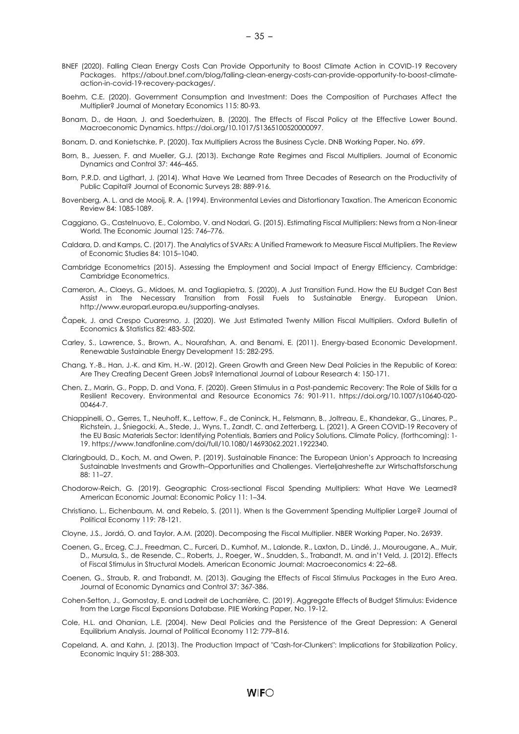- BNEF (2020). Falling Clean Energy Costs Can Provide Opportunity to Boost Climate Action in COVID-19 Recovery Packages. [https://about.bnef.com/blog/falling-clean-energy-costs-can-provide-opportunity-to-boost-climate](https://about.bnef.com/blog/falling-clean-energy-costs-can-provide-opportunity-to-boost-climate-action-in-covid-19-recovery-packages/)[action-in-covid-19-recovery-packages/.](https://about.bnef.com/blog/falling-clean-energy-costs-can-provide-opportunity-to-boost-climate-action-in-covid-19-recovery-packages/)
- Boehm, C.E. (2020). Government Consumption and Investment: Does the Composition of Purchases Affect the Multiplier? Journal of Monetary Economics 115: 80-93.
- Bonam, D., de Haan, J. and Soederhuizen, B. (2020). The Effects of Fiscal Policy at the Effective Lower Bound. Macroeconomic Dynamics. [https://doi.org/10.1017/S1365100520000097.](https://doi.org/10.1017/S1365100520000097)
- Bonam, D. and Konietschke, P. (2020). Tax Multipliers Across the Business Cycle. DNB Working Paper, No. 699.
- Born, B., Juessen, F. and Mueller, G.J. (2013). Exchange Rate Regimes and Fiscal Multipliers. Journal of Economic Dynamics and Control 37: 446–465.
- Born, P.R.D. and Ligthart, J. (2014). What Have We Learned from Three Decades of Research on the Productivity of Public Capital? Journal of Economic Surveys 28: 889-916.
- Bovenberg, A. L. and de Mooij, R. A. (1994). Environmental Levies and Distortionary Taxation. The American Economic Review 84: 1085-1089.
- Caggiano, G., Castelnuovo, E., Colombo, V. and Nodari, G. (2015). Estimating Fiscal Multipliers: News from a Non-linear World. The Economic Journal 125: 746–776.
- Caldara, D. and Kamps, C. (2017). The Analytics of SVARs: A Unified Framework to Measure Fiscal Multipliers. The Review of Economic Studies 84: 1015–1040.
- Cambridge Econometrics (2015). Assessing the Employment and Social Impact of Energy Efficiency, Cambridge: Cambridge Econometrics.
- Cameron, A., Claeys, G., Midoes, M. and Tagliapietra, S. (2020). A Just Transition Fund. How the EU Budget Can Best Assist in The Necessary Transition from Fossil Fuels to Sustainable Energy. European Union. [http://www.europarl.europa.eu/supporting-analyses.](http://www.europarl.europa.eu/supporting-analyses)
- Čapek, J. and Crespo Cuaresmo, J. (2020). We Just Estimated Twenty Million Fiscal Multipliers. Oxford Bulletin of Economics & Statistics 82: 483-502.
- Carley, S., Lawrence, S., Brown, A., Nourafshan, A. and Benami, E. (2011). Energy-based Economic Development. Renewable Sustainable Energy Development 15: 282-295.
- Chang, Y.-B., Han, J.-K. and Kim, H.-W. (2012). Green Growth and Green New Deal Policies in the Republic of Korea: Are They Creating Decent Green Jobs? International Journal of Labour Research 4: 150-171.
- Chen, Z., Marin, G., Popp, D. and Vona, F. (2020). Green Stimulus in a Post-pandemic Recovery: The Role of Skills for a Resilient Recovery. Environmental and Resource Economics 76: 901-911. [https://doi.org/10.1007/s10640-020-](https://doi.org/10.1007/s10640-020-00464-7) [00464-7.](https://doi.org/10.1007/s10640-020-00464-7)
- Chiappinelli, O., Gerres, T., Neuhoff, K., Lettow, F., de Coninck, H., Felsmann, B., Joltreau, E., Khandekar, G., Linares, P., Richstein, J., Śniegocki, A., Stede, J., Wyns, T., Zandt, C. and Zetterberg, L. (2021). A Green COVID-19 Recovery of the EU Basic Materials Sector: Identifying Potentials, Barriers and Policy Solutions. Climate Policy, (forthcoming): 1- 19[. https://www.tandfonline.com/doi/full/10.1080/14693062.2021.1922340.](https://www.tandfonline.com/doi/full/10.1080/14693062.2021.1922340)
- Claringbould, D., Koch, M. and Owen, P. (2019). Sustainable Finance: The European Union's Approach to Increasing Sustainable Investments and Growth–Opportunities and Challenges. Vierteljahreshefte zur Wirtschaftsforschung 88: 11–27.
- Chodorow-Reich, G. (2019). Geographic Cross-sectional Fiscal Spending Multipliers: What Have We Learned? American Economic Journal: Economic Policy 11: 1–34.
- Christiano, L., Eichenbaum, M. and Rebelo, S. (2011). When Is the Government Spending Multiplier Large? Journal of Political Economy 119: 78-121.
- Cloyne, J.S., Jordá, O. and Taylor, A.M. (2020). Decomposing the Fiscal Multiplier. NBER Working Paper, No. 26939.
- Coenen, G., Erceg, C.J., Freedman, C., Furceri, D., Kumhof, M., Lalonde, R., Laxton, D., Lindé, J., Mourougane, A., Muir, D., Mursula, S., de Resende, C., Roberts, J., Roeger, W., Snudden, S., Trabandt, M. and in't Veld, J. (2012). Effects of Fiscal Stimulus in Structural Models. American Economic Journal: Macroeconomics 4: 22–68.
- Coenen, G., Straub, R. and Trabandt, M. (2013). Gauging the Effects of Fiscal Stimulus Packages in the Euro Area. Journal of Economic Dynamics and Control 37: 367-386.
- Cohen-Setton, J., Gornostay, E. and Ladreit de Lacharrière, C. (2019). Aggregate Effects of Budget Stimulus: Evidence from the Large Fiscal Expansions Database. PIIE Working Paper, No. 19-12.
- Cole, H.L. and Ohanian, L.E. (2004). New Deal Policies and the Persistence of the Great Depression: A General Equilibrium Analysis. Journal of Political Economy 112: 779–816.
- Copeland, A. and Kahn, J. (2013). The Production Impact of "Cash-for-Clunkers": Implications for Stabilization Policy. Economic Inquiry 51: 288-303.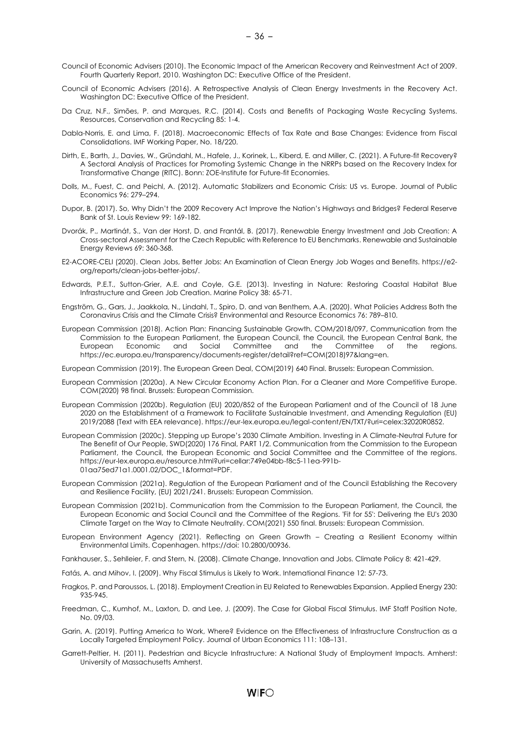- Council of Economic Advisers (2010). The Economic Impact of the American Recovery and Reinvestment Act of 2009. Fourth Quarterly Report, 2010. Washington DC: Executive Office of the President.
- Council of Economic Advisers (2016). A Retrospective Analysis of Clean Energy Investments in the Recovery Act. Washington DC: Executive Office of the President.
- Da Cruz, N.F., Simões, P. and Marques, R.C. (2014). Costs and Benefits of Packaging Waste Recycling Systems. Resources, Conservation and Recycling 85: 1-4.
- Dabla-Norris, E. and Lima, F. (2018). Macroeconomic Effects of Tax Rate and Base Changes: Evidence from Fiscal Consolidations. IMF Working Paper, No. 18/220.
- Dirth, E., Barth, J., Davies, W., Gründahl, M., Hafele, J., Korinek, L., Kiberd, E. and Miller, C. (2021). A Future-fit Recovery? A Sectoral Analysis of Practices for Promoting Systemic Change in the NRRPs based on the Recovery Index for Transformative Change (RITC). Bonn: ZOE-Institute for Future-fit Economies.
- Dolls, M., Fuest, C. and Peichl, A. (2012). Automatic Stabilizers and Economic Crisis: US vs. Europe. Journal of Public Economics 96: 279–294.
- Dupor, B. (2017). So, Why Didn't the 2009 Recovery Act Improve the Nation's Highways and Bridges? Federal Reserve Bank of St. Louis Review 99: 169-182.
- Dvorák, P., Martinát, S., Van der Horst, D. and Frantál, B. (2017). Renewable Energy Investment and Job Creation: A Cross-sectoral Assessment for the Czech Republic with Reference to EU Benchmarks. Renewable and Sustainable Energy Reviews 69: 360-368.
- E2-ACORE-CELI (2020). Clean Jobs, Better Jobs: An Examination of Clean Energy Job Wages and Benefits. [https://e2](https://e2-org/reports/clean-jobs-better-jobs/) [org/reports/clean-jobs-better-jobs/.](https://e2-org/reports/clean-jobs-better-jobs/)
- Edwards, P.E.T., Sutton-Grier, A.E. and Coyle, G.E. (2013). Investing in Nature: Restoring Coastal Habitat Blue Infrastructure and Green Job Creation. Marine Policy 38: 65-71.
- Engström, G., Gars, J., Jaakkola, N., Lindahl, T., Spiro, D. and van Benthem, A.A. (2020). What Policies Address Both the Coronavirus Crisis and the Climate Crisis? Environmental and Resource Economics 76: 789–810.
- European Commission (2018). Action Plan: Financing Sustainable Growth, COM/2018/097, Communication from the Commission to the European Parliament, the European Council, the Council, the European Central Bank, the European Economic and Social Committee and the Committee of the regions. [https://ec.europa.eu/transparency/documents-register/detail?ref=COM\(2018\)97&lang=en.](https://ec.europa.eu/transparency/documents-register/detail?ref=COM(2018)97&lang=en)

European Commission (2019). The European Green Deal, COM(2019) 640 Final. Brussels: European Commission.

- European Commission (2020a). A New Circular Economy Action Plan. For a Cleaner and More Competitive Europe. COM(2020) 98 final. Brussels: European Commission.
- European Commission (2020b). Regulation (EU) 2020/852 of the European Parliament and of the Council of 18 June 2020 on the Establishment of a Framework to Facilitate Sustainable Investment, and Amending Regulation (EU) 2019/2088 (Text with EEA relevance)[. https://eur-lex.europa.eu/legal-content/EN/TXT/?uri=celex:32020R0852.](https://eur-lex.europa.eu/legal-content/EN/TXT/?uri=celex:32020R0852)
- European Commission (2020c). Stepping up Europe's 2030 Climate Ambition. Investing in A Climate-Neutral Future for The Benefit of Our People, SWD(2020) 176 Final, PART 1/2. Communication from the Commission to the European Parliament, the Council, the European Economic and Social Committee and the Committee of the regions. [https://eur-lex.europa.eu/resource.html?uri=cellar:749e04bb-f8c5-11ea-991b-](https://eur-lex.europa.eu/resource.html?uri=cellar:749e04bb-f8c5-11ea-991b-01aa75ed71a1.0001.02/DOC_1&format=PDF)[01aa75ed71a1.0001.02/DOC\\_1&format=PDF.](https://eur-lex.europa.eu/resource.html?uri=cellar:749e04bb-f8c5-11ea-991b-01aa75ed71a1.0001.02/DOC_1&format=PDF)
- European Commission (2021a). Regulation of the European Parliament and of the Council Establishing the Recovery and Resilience Facility, (EU) 2021/241. Brussels: European Commission.
- European Commission (2021b). Communication from the Commission to the European Parliament, the Council, the European Economic and Social Council and the Committee of the Regions. 'Fit for 55': Delivering the EU's 2030 Climate Target on the Way to Climate Neutrality. COM(2021) 550 final. Brussels: European Commission.
- European Environment Agency (2021). Reflecting on Green Growth Creating a Resilient Economy within Environmental Limits. Copenhagen[. https://doi: 10.2800/00936.](https://doi:%2010.2800/00936)
- Fankhauser, S., Sehlleier, F. and Stern, N. (2008). Climate Change, Innovation and Jobs. Climate Policy 8: 421-429.
- Fatás, A. and Mihov, I. (2009). Why Fiscal Stimulus is Likely to Work. International Finance 12: 57-73.
- Fragkos, P. and Paroussos, L. (2018). Employment Creation in EU Related to Renewables Expansion. Applied Energy 230: 935-945.
- Freedman, C., Kumhof, M., Laxton, D. and Lee, J. (2009). The Case for Global Fiscal Stimulus. IMF Staff Position Note, No. 09/03.
- Garin, A. (2019). Putting America to Work, Where? Evidence on the Effectiveness of Infrastructure Construction as a Locally Targeted Employment Policy. Journal of Urban Economics 111: 108–131.
- Garrett-Peltier, H. (2011). Pedestrian and Bicycle Infrastructure: A National Study of Employment Impacts. Amherst: University of Massachusetts Amherst.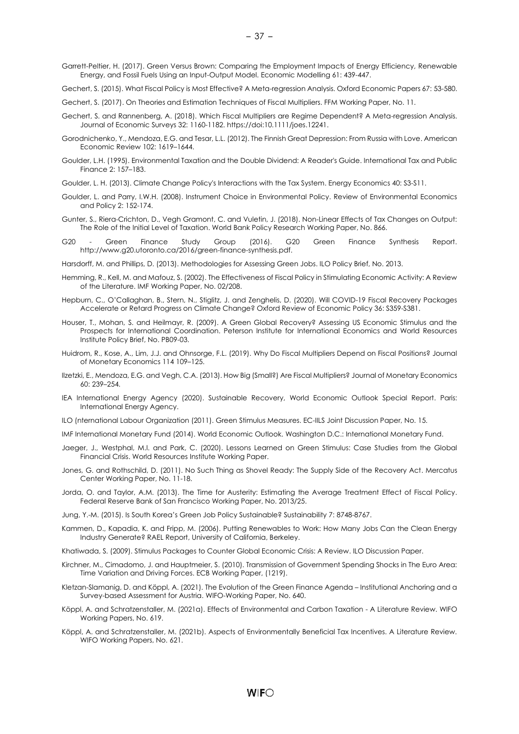Gechert, S. (2015). What Fiscal Policy is Most Effective? A Meta-regression Analysis. Oxford Economic Papers 67: 53-580.

- Gechert, S. (2017). On Theories and Estimation Techniques of Fiscal Multipliers. FFM Working Paper, No. 11.
- Gechert, S. and Rannenberg, A. (2018). Which Fiscal Multipliers are Regime Dependent? A Meta-regression Analysis. Journal of Economic Surveys 32: 1160-1182[. https://doi:10.1111/joes.12241.](https://doi:10.1111/joes.12241)
- Gorodnichenko, Y., Mendoza, E.G. and Tesar, L.L. (2012). The Finnish Great Depression: From Russia with Love. American Economic Review 102: 1619–1644.
- Goulder, L.H. (1995). Environmental Taxation and the Double Dividend: A Reader's Guide. International Tax and Public Finance 2: 157–183.
- Goulder, L. H. (2013). Climate Change Policy's Interactions with the Tax System. Energy Economics 40: S3-S11.
- Goulder, L. and Parry, I.W.H. (2008). Instrument Choice in Environmental Policy. Review of Environmental Economics and Policy 2: 152-174.
- Gunter, S., Riera-Crichton, D., Vegh Gramont, C. and Vuletin, J. (2018). Non-Linear Effects of Tax Changes on Output: The Role of the Initial Level of Taxation. World Bank Policy Research Working Paper, No. 866.
- G20 Green Finance Study Group (2016). G20 Green Finance Synthesis Report. [http://www.g20.utoronto.ca/2016/green-finance-synthesis.pdf.](http://www.g20.utoronto.ca/2016/green-finance-synthesis.pdf)
- Harsdorff, M. and Phillips, D. (2013). Methodologies for Assessing Green Jobs. ILO Policy Brief, No. 2013.
- Hemming, R., Kell, M. and Mafouz, S. (2002). The Effectiveness of Fiscal Policy in Stimulating Economic Activity: A Review of the Literature. IMF Working Paper, No. 02/208.
- Hepburn, C., O'Callaghan, B., Stern, N., Stiglitz, J. and Zenghelis, D. (2020). Will COVID-19 Fiscal Recovery Packages Accelerate or Retard Progress on Climate Change? Oxford Review of Economic Policy 36: S359-S381.
- Houser, T., Mohan, S. and Heilmayr, R. (2009). A Green Global Recovery? Assessing US Economic Stimulus and the Prospects for International Coordination. Peterson Institute for International Economics and World Resources Institute Policy Brief, No. PB09-03.
- Huidrom, R., Kose, A., Lim, J.J. and Ohnsorge, F.L. (2019). Why Do Fiscal Multipliers Depend on Fiscal Positions? Journal of Monetary Economics 114 109–125.
- Ilzetzki, E., Mendoza, E.G. and Vegh, C.A. (2013). How Big (Small?) Are Fiscal Multipliers? Journal of Monetary Economics 60: 239–254.
- IEA International Energy Agency (2020). Sustainable Recovery, World Economic Outlook Special Report. Paris: International Energy Agency.
- ILO (nternational Labour Organization (2011). Green Stimulus Measures. EC-IILS Joint Discussion Paper, No. 15.
- IMF International Monetary Fund (2014). World Economic Outlook. Washington D.C.: International Monetary Fund.
- Jaeger, J., Westphal, M.I. and Park, C. (2020). Lessons Learned on Green Stimulus: Case Studies from the Global Financial Crisis. World Resources Institute Working Paper.
- Jones, G. and Rothschild, D. (2011). No Such Thing as Shovel Ready: The Supply Side of the Recovery Act. Mercatus Center Working Paper, No. 11-18.
- Jorda, O. and Taylor, A.M. (2013). The Time for Austerity: Estimating the Average Treatment Effect of Fiscal Policy. Federal Reserve Bank of San Francisco Working Paper, No. 2013/25.
- Jung, Y.-M. (2015). Is South Korea's Green Job Policy Sustainable? Sustainability 7: 8748-8767.
- Kammen, D., Kapadia, K. and Fripp, M. (2006). Putting Renewables to Work: How Many Jobs Can the Clean Energy Industry Generate? RAEL Report, University of California, Berkeley.
- Khatiwada, S. (2009). Stimulus Packages to Counter Global Economic Crisis: A Review. ILO Discussion Paper.
- Kirchner, M., Cimadomo, J. and Hauptmeier, S. (2010). Transmission of Government Spending Shocks in The Euro Area: Time Variation and Driving Forces. ECB Working Paper, (1219).
- Kletzan-Slamanig, D. and Köppl, A. (2021). The Evolution of the Green Finance Agenda Institutional Anchoring and a Survey-based Assessment for Austria. WIFO-Working Paper, No. 640.
- Köppl, A. and Schratzenstaller, M. (2021a). Effects of Environmental and Carbon Taxation A Literature Review. WIFO Working Papers, No. 619.
- Köppl, A. and Schratzenstaller, M. (2021b). Aspects of Environmentally Beneficial Tax Incentives. A Literature Review. WIFO Working Papers, No. 621.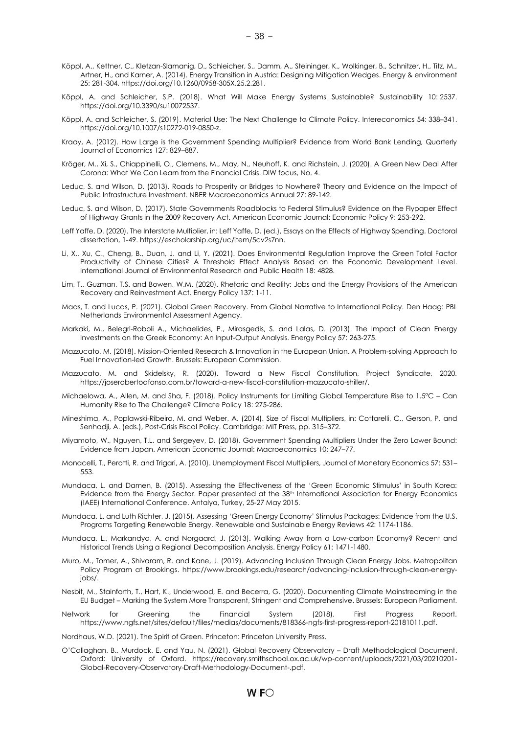- Köppl, A., Kettner, C., Kletzan-Slamanig, D., Schleicher, S., Damm, A., Steininger, K., Wolkinger, B., Schnitzer, H., Titz, M., Artner, H., and Karner, A. (2014). Energy Transition in Austria: Designing Mitigation Wedges. Energy & environment 25: 281-304[. https://doi.org/10.1260/0958-305X.25.2.281.](https://doi.org/10.1260/0958-305X.25.2.281)
- Köppl, A. and Schleicher, S.P. (2018). What Will Make Energy Systems Sustainable? Sustainability 10: 2537. [https://doi.org/10.3390/su10072537.](https://doi.org/10.3390/su10072537)
- Köppl, A. and Schleicher, S. (2019). Material Use: The Next Challenge to Climate Policy. Intereconomics 54: 338–341. [https://doi.org/10.1007/s10272-019-0850-z.](https://doi.org/10.1007/s10272-019-0850-z)
- Kraay, A. (2012). How Large is the Government Spending Multiplier? Evidence from World Bank Lending, Quarterly Journal of Economics 127: 829–887.
- Kröger, M., Xi, S., Chiappinelli, O., Clemens, M., May, N., Neuhoff, K. and Richstein, J. (2020). A Green New Deal After Corona: What We Can Learn from the Financial Crisis. DIW focus, No. 4.
- Leduc, S. and Wilson, D. (2013). [Roads to Prosperity or Bridges to Nowhere? Theory and Evidence on the Impact of](https://ideas.repec.org/a/ucp/macann/doi10.1086-669173.html)  [Public Infrastructure Investment.](https://ideas.repec.org/a/ucp/macann/doi10.1086-669173.html) [NBER Macroeconomics Annual](https://ideas.repec.org/s/ucp/macann.html) 27: 89-142.
- Leduc, S. and Wilson, D. (2017). State Governments Roadblocks to Federal Stimulus? Evidence on the Flypaper Effect of Highway Grants in the 2009 Recovery Act. American Economic Journal: Economic Policy 9: 253-292.
- Leff Yaffe, D. (2020). The Interstate Multiplier, in: Leff Yaffe, D. (ed.), Essays on the Effects of Highway Spending. Doctoral dissertation, 1-49. [https://escholarship.org/uc/item/5cv2s7nn.](https://escholarship.org/uc/item/5cv2s7nn)
- Li, X., Xu, C., Cheng, B., Duan, J. and Li, Y. (2021). Does Environmental Regulation Improve the Green Total Factor Productivity of Chinese Cities? A Threshold Effect Analysis Based on the Economic Development Level. International Journal of Environmental Research and Public Health 18: 4828.
- Lim, T., Guzman, T.S. and Bowen, W.M. (2020). Rhetoric and Reality: Jobs and the Energy Provisions of the American Recovery and Reinvestment Act. Energy Policy 137: 1-11.
- Maas, T. and Lucas, P. (2021). Global Green Recovery. From Global Narrative to International Policy. Den Haag: PBL Netherlands Environmental Assessment Agency.
- Markaki, M., Belegri-Roboli A., Michaelides, P., Mirasgedis, S. and Lalas, D. (2013). The Impact of Clean Energy Investments on the Greek Economy: An Input-Output Analysis. Energy Policy 57: 263-275.
- Mazzucato, M. (2018). Mission-Oriented Research & Innovation in the European Union. A Problem-solving Approach to Fuel Innovation-led Growth. Brussels: European Commission.
- Mazzucato, M. and Skidelsky, R. (2020). Toward a New Fiscal Constitution, Project Syndicate, 2020. [https://joserobertoafonso.com.br/toward-a-new-fiscal-constitution-mazzucato-shiller/.](https://joserobertoafonso.com.br/toward-a-new-fiscal-constitution-mazzucato-shiller/)
- Michaelowa, A., Allen, M. and Sha, F. (2018). Policy Instruments for Limiting Global Temperature Rise to 1.5°C Can Humanity Rise to The Challenge? Climate Policy 18: 275-286.
- Mineshima, A., Poplawski-Ribeiro, M. and Weber, A. (2014). Size of Fiscal Multipliers, in: Cottarelli, C., Gerson, P. and Senhadji, A. (eds.), Post-Crisis Fiscal Policy. Cambridge: MIT Press, pp. 315–372.
- Miyamoto, W., Nguyen, T.L. and Sergeyev, D. (2018). Government Spending Multipliers Under the Zero Lower Bound: Evidence from Japan. American Economic Journal: Macroeconomics 10: 247–77.
- Monacelli, T., Perotti, R. and Trigari, A. (2010). Unemployment Fiscal Multipliers, Journal of Monetary Economics 57: 531– 553.
- Mundaca, L. and Damen, B. (2015). Assessing the Effectiveness of the 'Green Economic Stimulus' in South Korea: Evidence from the Energy Sector. Paper presented at the 38<sup>th</sup> International Association for Energy Economics (IAEE) International Conference. Antalya, Turkey, 25-27 May 2015.
- Mundaca, L. and Luth Richter, J. (2015). Assessing 'Green Energy Economy' Stimulus Packages: Evidence from the U.S. Programs Targeting Renewable Energy. Renewable and Sustainable Energy Reviews 42: 1174-1186.
- Mundaca, L., Markandya, A. and Norgaard, J. (2013). Walking Away from a Low-carbon Economy? Recent and Historical Trends Using a Regional Decomposition Analysis. Energy Policy 61: 1471-1480.
- Muro, M., Tomer, A., Shivaram, R. and Kane, J. (2019). Advancing Inclusion Through Clean Energy Jobs. Metropolitan Policy Program at Brookings. [https://www.brookings.edu/research/advancing-inclusion-through-clean-energy](https://www.brookings.edu/research/advancing-inclusion-through-clean-energy-jobs/)[jobs/.](https://www.brookings.edu/research/advancing-inclusion-through-clean-energy-jobs/)
- Nesbit, M., Stainforth, T., Hart, K., Underwood, E. and Becerra, G. (2020). Documenting Climate Mainstreaming in the EU Budget – Marking the System More Transparent, Stringent and Comprehensive. Brussels: European Parliament.
- Network for Greening the Financial System (2018). First Progress Report. [https://www.ngfs.net/sites/default/files/medias/documents/818366-ngfs-first-progress-report-20181011.pdf.](https://www.ngfs.net/sites/default/files/medias/documents/818366-ngfs-first-progress-report-20181011.pdf)
- Nordhaus, W.D. (2021). The Spirit of Green. Princeton: Princeton University Press.
- O'Callaghan, B., Murdock, E. and Yau, N. (2021). Global Recovery Observatory Draft Methodological Document. Oxford: University of Oxford. [https://recovery.smithschool.ox.ac.uk/wp-content/uploads/2021/03/20210201-](https://recovery.smithschool.ox.ac.uk/wp-content/uploads/2021/03/20210201-Global-Recovery-Observatory-Draft-Methodology-Document-.pdf) [Global-Recovery-Observatory-Draft-Methodology-Document-.pdf.](https://recovery.smithschool.ox.ac.uk/wp-content/uploads/2021/03/20210201-Global-Recovery-Observatory-Draft-Methodology-Document-.pdf)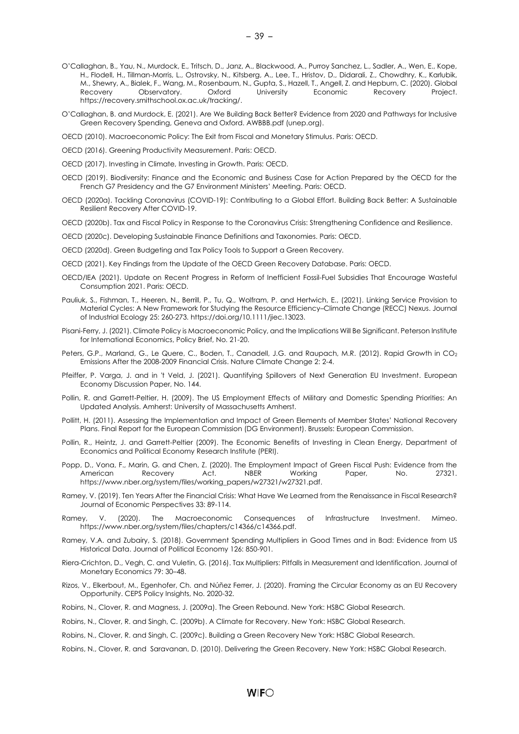- O'Callaghan, B., Yau, N., Murdock, E., Tritsch, D., Janz, A., Blackwood, A., Purroy Sanchez, L., Sadler, A., Wen, E., Kope, H., Flodell, H., Tillman-Morris, L., Ostrovsky, N., Kitsberg, A., Lee, T., Hristov, D., Didarali, Z., Chowdhry, K., Karlubik, M., Shewry, A., Bialek, F., Wang, M., Rosenbaum, N., Gupta, S., Hazell, T., Angell, Z. and Hepburn, C. (2020). Global Recovery Observatory. Oxford University Economic Recovery Project. [https://recovery.smithschool.ox.ac.uk/tracking/.](https://recovery.smithschool.ox.ac.uk/tracking/)
- O'Callaghan, B. and Murdock, E. (2021). Are We Building Back Better? Evidence from 2020 and Pathways for Inclusive Green Recovery Spending, Geneva and Oxford. [AWBBB.pdf \(unep.org\).](https://wedocs.unep.org/bitstream/handle/20.500.11822/35281/AWBBB.pdf)
- OECD (2010). Macroeconomic Policy: The Exit from Fiscal and Monetary Stimulus. Paris: OECD.
- OECD (2016). Greening Productivity Measurement. Paris: OECD.
- OECD (2017). Investing in Climate, Investing in Growth. Paris: OECD.
- OECD (2019). Biodiversity: Finance and the Economic and Business Case for Action Prepared by the OECD for the French G7 Presidency and the G7 Environment Ministers' Meeting. Paris: OECD.
- OECD (2020a). Tackling Coronavirus (COVID-19): Contributing to a Global Effort. Building Back Better: A Sustainable Resilient Recovery After COVID-19.
- OECD (2020b). Tax and Fiscal Policy in Response to the Coronavirus Crisis: Strengthening Confidence and Resilience.
- OECD (2020c). Developing Sustainable Finance Definitions and Taxonomies. Paris: OECD.
- OECD (2020d). Green Budgeting and Tax Policy Tools to Support a Green Recovery.
- OECD (2021). Key Findings from the Update of the OECD Green Recovery Database. Paris: OECD.
- OECD/IEA (2021). Update on Recent Progress in Reform of Inefficient Fossil-Fuel Subsidies That Encourage Wasteful Consumption 2021. Paris: OECD.
- Pauliuk, S., Fishman, T., Heeren, N., Berrill, P., Tu, Q., Wolfram, P. and Hertwich, E., (2021). Linking Service Provision to Material Cycles: A New Framework for Studying the Resource Efficiency–Climate Change (RECC) Nexus. Journal of Industrial Ecology 25: 260-273[. https://doi.org/10.1111/jiec.13023.](https://doi.org/10.1111/jiec.13023)
- Pisani-Ferry, J. (2021). Climate Policy is Macroeconomic Policy, and the Implications Will Be Significant. Peterson Institute for International Economics, Policy Brief, No. 21-20.
- Peters, G.P., Marland, G., Le Quere, C., Boden, T., Canadell, J.G. and Raupach, M.R. (2012). Rapid Growth in CO<sub>2</sub> Emissions After the 2008-2009 Financial Crisis. Nature Climate Change 2: 2-4.
- Pfeiffer, P. Varga, J. and in 't Veld, J. (2021). Quantifying Spillovers of Next Generation EU Investment. European Economy Discussion Paper, No. 144.
- Pollin, R. and Garrett-Peltier, H. (2009). The US Employment Effects of Military and Domestic Spending Priorities: An Updated Analysis. Amherst: University of Massachusetts Amherst.
- Pollitt, H. (2011). Assessing the Implementation and Impact of Green Elements of Member States' National Recovery Plans. Final Report for the European Commission (DG Environment). Brussels: European Commission.
- Pollin, R., Heintz, J. and Garrett-Peltier (2009). The Economic Benefits of Investing in Clean Energy, Department of Economics and Political Economy Research Institute (PERI).
- Popp, D., Vona, F., Marin, G. and Chen, Z. (2020). The Employment Impact of Green Fiscal Push: Evidence from the<br>American Recovery Act. NBER Working Paper. No. 27321. American Recovery Act. NBER Working Paper, No. 27321. [https://www.nber.org/system/files/working\\_papers/w27321/w27321.pdf.](https://www.nber.org/system/files/working_papers/w27321/w27321.pdf)
- Ramey, V. (2019). Ten Years After the Financial Crisis: What Have We Learned from the Renaissance in Fiscal Research? Journal of Economic Perspectives 33: 89-114.
- Ramey, V. (2020). The Macroeconomic Consequences of Infrastructure Investment. Mimeo. [https://www.nber.org/system/files/chapters/c14366/c14366.pdf.](https://www.nber.org/system/files/chapters/c14366/c14366.pdf)
- Ramey, V.A. and Zubairy, S. (2018). [Government Spending Multipliers in Good Times and in Bad: Evidence from US](https://ideas.repec.org/a/ucp/jpolec/doi10.1086-696277.html)  [Historical Data.](https://ideas.repec.org/a/ucp/jpolec/doi10.1086-696277.html) [Journal of Political Economy](https://ideas.repec.org/s/ucp/jpolec.html) 126: 850-901.
- Riera-Crichton, D., Vegh, C. and Vuletin, G. (2016). Tax Multipliers: Pitfalls in Measurement and Identification. Journal of Monetary Economics 79: 30–48.
- Rizos, V., Elkerbout, M., Egenhofer, Ch. and Núñez Ferrer, J. (2020). Framing the Circular Economy as an EU Recovery Opportunity. CEPS Policy Insights, No. 2020-32.
- Robins, N., Clover, R. and Magness, J. (2009a). The Green Rebound. New York: HSBC Global Research.
- Robins, N., Clover, R. and Singh, C. (2009b). A Climate for Recovery. New York: HSBC Global Research.
- Robins, N., Clover, R. and Singh, C. (2009c). Building a Green Recovery New York: HSBC Global Research.
- Robins, N., Clover, R. and Saravanan, D. (2010). Delivering the Green Recovery. New York: HSBC Global Research.